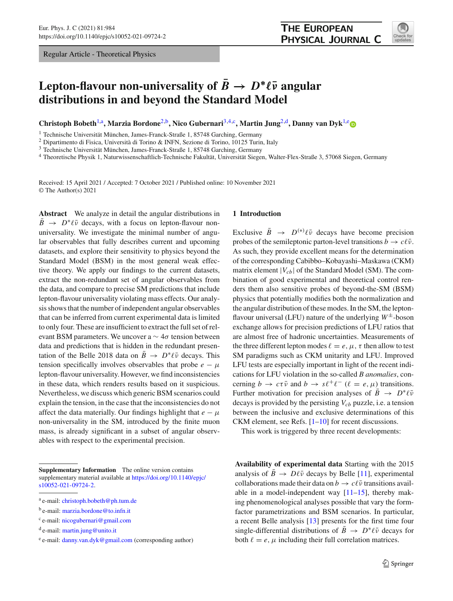Regular Article - Theoretical Physics



# **Lepton-flavour non-universality of**  $B \to D^*\ell\bar{\nu}$  angular **distributions in and beyond the Standard Model**

**Christoph Bobeth**[1,](#page-0-0)a**, Marzia Bordone**[2,](#page-0-0)b**, Nico Gubernari**[3](#page-0-1)[,4,](#page-0-2)c**, Martin Jung**[2,](#page-0-0)d**, Danny van Dyk**[1,](#page-0-0)[e](http://orcid.org/0000-0002-7668-810X)

<sup>1</sup> Technische Universität München, James-Franck-Straße 1, 85748 Garching, Germany

<sup>2</sup> Dipartimento di Fisica, Università di Torino & INFN, Sezione di Torino, 10125 Turin, Italy

<sup>3</sup> Technische Universität München, James-Franck-Straße 1, 85748 Garching, Germany

<sup>4</sup> Theoretische Physik 1, Naturwissenschaftlich-Technische Fakultät, Universität Siegen, Walter-Flex-Straße 3, 57068 Siegen, Germany

Received: 15 April 2021 / Accepted: 7 October 2021 / Published online: 10 November 2021 © The Author(s) 2021

**Abstract** We analyze in detail the angular distributions in  $B \to D^* \ell \bar{\nu}$  decays, with a focus on lepton-flavour nonuniversality. We investigate the minimal number of angular observables that fully describes current and upcoming datasets, and explore their sensitivity to physics beyond the Standard Model (BSM) in the most general weak effective theory. We apply our findings to the current datasets, extract the non-redundant set of angular observables from the data, and compare to precise SM predictions that include lepton-flavour universality violating mass effects. Our analysis shows that the number of independent angular observables that can be inferred from current experimental data is limited to only four. These are insufficient to extract the full set of relevant BSM parameters. We uncover a  $\sim$  4 $\sigma$  tension between data and predictions that is hidden in the redundant presentation of the Belle 2018 data on  $B \to D^* \ell \bar{\nu}$  decays. This tension specifically involves observables that probe  $e - \mu$ lepton-flavour universality. However, we find inconsistencies in these data, which renders results based on it suspicious. Nevertheless, we discuss which generic BSM scenarios could explain the tension, in the case that the inconsistencies do not affect the data materially. Our findings highlight that  $e - \mu$ non-universality in the SM, introduced by the finite muon mass, is already significant in a subset of angular observables with respect to the experimental precision.

**Supplementary Information** The online version contains supplementary material available at [https://doi.org/10.1140/epjc/](https://doi.org/10.1140/epjc/s10052-021-09724-2) [s10052-021-09724-2.](https://doi.org/10.1140/epjc/s10052-021-09724-2)

## <span id="page-0-2"></span><span id="page-0-1"></span><span id="page-0-0"></span>**1 Introduction**

Exclusive  $\bar{B} \rightarrow D^{(*)}\ell\bar{\nu}$  decays have become precision probes of the semileptonic parton-level transitions  $b \to c\ell\bar{\nu}$ . As such, they provide excellent means for the determination of the corresponding Cabibbo–Kobayashi–Maskawa (CKM) matrix element  $|V_{cb}|$  of the Standard Model (SM). The combination of good experimental and theoretical control renders them also sensitive probes of beyond-the-SM (BSM) physics that potentially modifies both the normalization and the angular distribution of these modes. In the SM, the leptonflavour universal (LFU) nature of the underlying  $W^{\pm}$ -boson exchange allows for precision predictions of LFU ratios that are almost free of hadronic uncertainties. Measurements of the three different lepton modes  $\ell = e, \mu, \tau$  then allow to test SM paradigms such as CKM unitarity and LFU. Improved LFU tests are especially important in light of the recent indications for LFU violation in the so-called *B anomalies*, concerning  $b \to c\tau\bar{\nu}$  and  $b \to s\ell^+\ell^-$  ( $\ell = e, \mu$ ) transitions. Further motivation for precision analyses of  $B \to D^* \ell \bar{\nu}$ decays is provided by the persisting  $V_{cb}$  puzzle, i.e. a tension between the inclusive and exclusive determinations of this CKM element, see Refs.  $[1–10]$  $[1–10]$  for recent discussions.

This work is triggered by three recent developments:

**Availability of experimental data** Starting with the 2015 analysis of  $B \to D\ell\bar{\nu}$  decays by Belle [\[11\]](#page-16-1), experimental collaborations made their data on  $b \to c\ell\bar{\nu}$  transitions available in a model-independent way  $[11-15]$  $[11-15]$ , thereby making phenomenological analyses possible that vary the formfactor parametrizations and BSM scenarios. In particular, a recent Belle analysis [\[13](#page-16-3)] presents for the first time four single-differential distributions of  $B \to D^* \ell \bar{\nu}$  decays for both  $\ell = e$ ,  $\mu$  including their full correlation matrices.

<sup>a</sup> e-mail: [christoph.bobeth@ph.tum.de](mailto:christoph.bobeth@ph.tum.de)

<sup>b</sup> e-mail: [marzia.bordone@to.infn.it](mailto:marzia.bordone@to.infn.it)

 $c$  e-mail: [nicogubernari@gmail.com](mailto:nicogubernari@gmail.com)

<sup>d</sup> e-mail: [martin.jung@unito.it](mailto:martin.jung@unito.it)

<sup>e</sup> e-mail: [danny.van.dyk@gmail.com](mailto:danny.van.dyk@gmail.com) (corresponding author)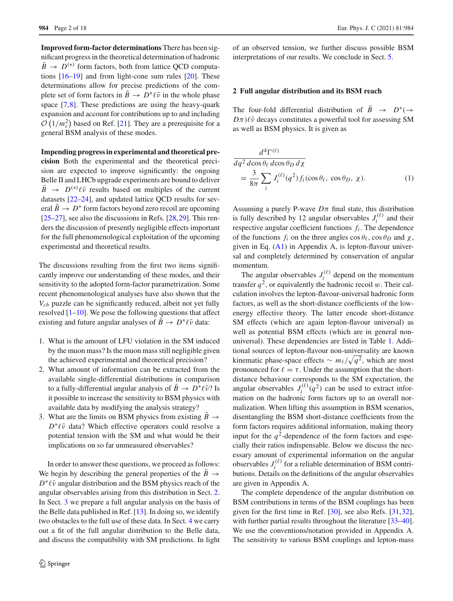**Improved form-factor determinations** There has been significant progress in the theoretical determination of hadronic  $\bar{B}$   $\rightarrow$  *D*<sup>(\*)</sup> form factors, both from lattice QCD computations [\[16](#page-16-4)[–19\]](#page-16-5) and from light-cone sum rules [\[20\]](#page-16-6). These determinations allow for precise predictions of the complete set of form factors in  $B \to D^* \ell \bar{\nu}$  in the whole phase space [\[7](#page-16-7),[8\]](#page-16-8). These predictions are using the heavy-quark expansion and account for contributions up to and including  $\mathcal{O}(1/m_c^2)$  based on Ref. [\[21\]](#page-16-9). They are a prerequisite for a general BSM analysis of these modes.

**Impending progress in experimental and theoretical precision** Both the experimental and the theoretical precision are expected to improve significantly: the ongoing Belle II and LHCb upgrade experiments are bound to deliver  $\bar{B}$   $\rightarrow$  *D*<sup>(\*)</sup> $\ell \bar{\nu}$  results based on multiples of the current datasets [\[22](#page-16-10)[–24\]](#page-16-11), and updated lattice QCD results for several  $B \to D^*$  form factors beyond zero recoil are upcoming  $[25–27]$  $[25–27]$  $[25–27]$ , see also the discussions in Refs.  $[28,29]$  $[28,29]$  $[28,29]$ . This renders the discussion of presently negligible effects important for the full phenomenological exploitation of the upcoming experimental and theoretical results.

The discussions resulting from the first two items significantly improve our understanding of these modes, and their sensitivity to the adopted form-factor parametrization. Some recent phenomenological analyses have also shown that the *Vcb* puzzle can be significantly reduced, albeit not yet fully resolved  $[1-10]$  $[1-10]$ . We pose the following questions that affect existing and future angular analyses of  $B \to D^* \ell \bar{\nu}$  data:

- 1. What is the amount of LFU violation in the SM induced by the muon mass? Is the muon mass still negligible given the achieved experimental and theoretical precision?
- 2. What amount of information can be extracted from the available single-differential distributions in comparison to a fully-differential angular analysis of  $B \to D^* \ell \bar{\nu}$ ? Is it possible to increase the sensitivity to BSM physics with available data by modifying the analysis strategy?
- 3. What are the limits on BSM physics from existing  $B \rightarrow$ *D*<sup>∗</sup> $\ell$ νv̄ data? Which effective operators could resolve a potential tension with the SM and what would be their implications on so far unmeasured observables?

In order to answer these questions, we proceed as follows: We begin by describing the general properties of the  $\bar{B} \rightarrow$ *D*<sup>∗</sup> $\ell \bar{\nu}$  angular distribution and the BSM physics reach of the angular observables arising from this distribution in Sect. [2.](#page-1-0) In Sect. [3](#page-6-0) we prepare a full angular analysis on the basis of the Belle data published in Ref.  $[13]$ . In doing so, we identify two obstacles to the full use of these data. In Sect. [4](#page-8-0) we carry out a fit of the full angular distribution to the Belle data, and discuss the compatibility with SM predictions. In light of an observed tension, we further discuss possible BSM interpretations of our results. We conclude in Sect. [5.](#page-14-0)

## <span id="page-1-0"></span>**2 Full angular distribution and its BSM reach**

The four-fold differential distribution of  $\overline{B} \rightarrow D^* (\rightarrow$  $D\pi$ ) $\ell\bar{\nu}$  decays constitutes a powerful tool for assessing SM as well as BSM physics. It is given as

<span id="page-1-1"></span>
$$
\frac{d^4\Gamma^{(\ell)}}{dq^2 \, d\cos\theta_\ell \, d\cos\theta_D \, d\chi} = \frac{3}{8\pi} \sum_i J_i^{(\ell)}(q^2) f_i(\cos\theta_\ell, \cos\theta_D, \chi).
$$
\n(1)

Assuming a purely P-wave  $D\pi$  final state, this distribution is fully described by 12 angular observables  $J_i^{(\ell)}$  and their respective angular coefficient functions  $f_i$ . The dependence of the functions  $f_i$  on the three angles  $\cos \theta_\ell$ ,  $\cos \theta_D$  and  $\chi$ , given in Eq.  $(A1)$  in Appendix A, is lepton-flavour universal and completely determined by conservation of angular momentum.

The angular observables  $J_i^{(\ell)}$  depend on the momentum transfer  $q^2$ , or equivalently the hadronic recoil w. Their calculation involves the lepton-flavour-universal hadronic form factors, as well as the short-distance coefficients of the lowenergy effective theory. The latter encode short-distance SM effects (which are again lepton-flavour universal) as well as potential BSM effects (which are in general nonuniversal). These dependencies are listed in Table [1.](#page-4-0) Additional sources of lepton-flavour non-universality are known kinematic phase-space effects  $\sim m_{\ell}/\sqrt{q^2}$ , which are most pronounced for  $\ell = \tau$ . Under the assumption that the shortdistance behaviour corresponds to the SM expectation, the angular observables  $J_i^{(\ell)}(q^2)$  can be used to extract information on the hadronic form factors up to an overall normalization. When lifting this assumption in BSM scenarios, disentangling the BSM short-distance coefficients from the form factors requires additional information, making theory input for the  $q^2$ -dependence of the form factors and especially their ratios indispensable. Below we discuss the necessary amount of experimental information on the angular observables  $J_i^{(\ell)}$  for a reliable determination of BSM contributions. Details on the definitions of the angular observables are given in Appendix A.

The complete dependence of the angular distribution on BSM contributions in terms of the BSM couplings has been given for the first time in Ref. [\[30](#page-16-16)], see also Refs. [\[31](#page-16-17)[,32](#page-16-18)], with further partial results throughout the literature [\[33](#page-16-19)[–40](#page-16-20)]. We use the conventions/notation provided in Appendix A. The sensitivity to various BSM couplings and lepton-mass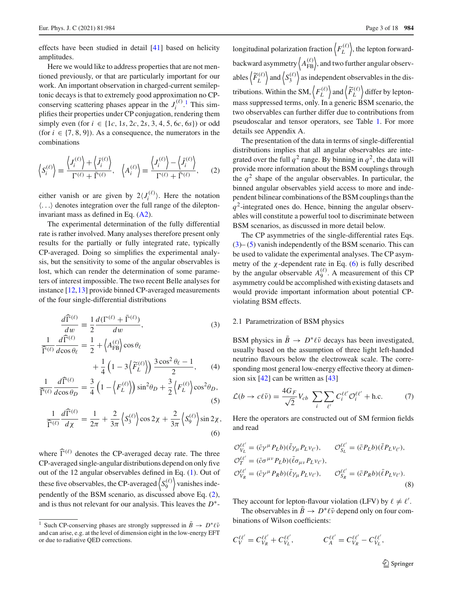effects have been studied in detail [\[41](#page-16-21)] based on helicity amplitudes.

Here we would like to address properties that are not mentioned previously, or that are particularly important for our work. An important observation in charged-current semileptonic decays is that to extremely good approximation no CPconserving scattering phases appear in the  $J_i^{(\ell)}$ .<sup>[1](#page-2-0)</sup> This simplifies their properties under CP conjugation, rendering them simply even (for  $i \in \{1c, 1s, 2c, 2s, 3, 4, 5, 6c, 6s\}$ ) or odd (for  $i \in \{7, 8, 9\}$ ). As a consequence, the numerators in the combinations

$$
\left\langle S_i^{(\ell)} \right\rangle \equiv \frac{\left\langle J_i^{(\ell)} \right\rangle + \left\langle \bar{J}_i^{(\ell)} \right\rangle}{\Gamma^{(\ell)} + \bar{\Gamma}^{(\ell)}}, \quad \left\langle A_i^{(\ell)} \right\rangle \equiv \frac{\left\langle J_i^{(\ell)} \right\rangle - \left\langle \bar{J}_i^{(\ell)} \right\rangle}{\Gamma^{(\ell)} + \bar{\Gamma}^{(\ell)}}, \quad (2)
$$

either vanish or are given by  $2\langle J_i^{(\ell)} \rangle$ . Here the notation  $\langle \ldots \rangle$  denotes integration over the full range of the dileptoninvariant mass as defined in Eq. [\(A2\)](#page-15-2).

The experimental determination of the fully differential rate is rather involved. Many analyses therefore present only results for the partially or fully integrated rate, typically CP-averaged. Doing so simplifies the experimental analysis, but the sensitivity to some of the angular observables is lost, which can render the determination of some parameters of interest impossible. The two recent Belle analyses for instance [\[12](#page-16-22)[,13](#page-16-3)] provide binned CP-averaged measurements of the four single-differential distributions

$$
\frac{d\widehat{\Gamma}^{(\ell)}}{dw} \equiv \frac{1}{2} \frac{d(\Gamma^{(\ell)} + \bar{\Gamma}^{(\ell)})}{dw},
$$
\n
$$
\frac{1}{\widehat{\Gamma}^{(\ell)}} \frac{d\widehat{\Gamma}^{(\ell)}}{d\cos\theta_{\ell}} = \frac{1}{2} + \left\langle A_{FB}^{(\ell)} \right\rangle \cos\theta_{\ell}
$$
\n(3)

$$
+\frac{1}{4}\left(1-3\left\langle \widetilde{F}_{L}^{(\ell)}\right\rangle \right)\frac{3\cos^{2}\theta_{\ell}-1}{2},\qquad(4)
$$

$$
\frac{1}{\widehat{\Gamma}^{(\ell)}} \frac{d\widehat{\Gamma}^{(\ell)}}{d\cos\theta_D} = \frac{3}{4} \left( 1 - \left\langle F_L^{(\ell)} \right\rangle \right) \sin^2\theta_D + \frac{3}{2} \left\langle F_L^{(\ell)} \right\rangle \cos^2\theta_D,\tag{5}
$$

$$
\frac{1}{\widehat{\Gamma}^{(\ell)}} \frac{d\widehat{\Gamma}^{(\ell)}}{d\chi} = \frac{1}{2\pi} + \frac{2}{3\pi} \left\langle S_3^{(\ell)} \right\rangle \cos 2\chi + \frac{2}{3\pi} \left\langle S_9^{(\ell)} \right\rangle \sin 2\chi,\tag{6}
$$

where  $\widehat{\Gamma}^{(\ell)}$  denotes the CP-averaged decay rate. The three CP-averaged single-angular distributions depend on only five out of the 12 angular observables defined in Eq. [\(1\)](#page-1-1). Out of these five observables, the CP-averaged  $\langle S_9^{(\ell)} \rangle$  $\binom{\ell}{9}$  vanishes independently of the BSM scenario, as discussed above Eq. [\(2\)](#page-2-1), and is thus not relevant for our analysis. This leaves the *D*∗-

longitudinal polarization fraction  $\left\langle F_l^{(\ell)} \right\rangle$  $\langle L \rangle_L^{(\ell)}$ , the lepton forwardbackward asymmetry  $\left\langle A_{\text{FB}}^{(\ell)} \right\rangle$ , and two further angular observables  $\left\langle \widetilde{F}_i \right\rangle$  $(\ell)$  $L^{(\ell)}$  and  $S_3^{(\ell)}$  $\binom{1}{3}$  as independent observables in the distributions. Within the SM,  $\langle F_L^{(\ell)} \rangle$  $L^{(\ell)}$  and  $\left\langle \widetilde{F}\right\rangle$  $\Omega(\ell)$  $\binom{H(\ell)}{L}$  differ by leptonmass suppressed terms, only. In a generic BSM scenario, the two observables can further differ due to contributions from pseudoscalar and tensor operators, see Table [1.](#page-4-0) For more details see Appendix A.

<span id="page-2-1"></span>The presentation of the data in terms of single-differential distributions implies that all angular observables are integrated over the full  $q^2$  range. By binning in  $q^2$ , the data will provide more information about the BSM couplings through the  $q^2$  shape of the angular observables. In particular, the binned angular observables yield access to more and independent bilinear combinations of the BSM couplings than the  $q<sup>2</sup>$ -integrated ones do. Hence, binning the angular observables will constitute a powerful tool to discriminate between BSM scenarios, as discussed in more detail below.

The CP asymmetries of the single-differential rates Eqs. [\(3\)](#page-2-2)– [\(5\)](#page-2-3) vanish independently of the BSM scenario. This can be used to validate the experimental analyses. The CP asymmetry of the  $\chi$ -dependent rate in Eq. [\(6\)](#page-2-4) is fully described by the angular observable  $A_9^{(\ell)}$ . A measurement of this CP asymmetry could be accomplished with existing datasets and would provide important information about potential CPviolating BSM effects.

## <span id="page-2-2"></span>2.1 Parametrization of BSM physics

<span id="page-2-6"></span>BSM physics in  $B \to D^* \ell \bar{\nu}$  decays has been investigated, usually based on the assumption of three light left-handed neutrino flavours below the electroweak scale. The corresponding most general low-energy effective theory at dimension six  $[42]$  can be written as  $[43]$  $[43]$ 

<span id="page-2-5"></span><span id="page-2-3"></span>
$$
\mathcal{L}(b \to c\ell \bar{\nu}) = \frac{4G_F}{\sqrt{2}} V_{cb} \sum_{i} \sum_{\ell'} C_i^{\ell \ell'} \mathcal{O}_i^{\ell \ell'} + \text{h.c.}
$$
 (7)

<span id="page-2-4"></span>Here the operators are constructed out of SM fermion fields and read

$$
\mathcal{O}_{V_L}^{\ell\ell'} = (\bar{c}\gamma^{\mu} P_L b)(\bar{\ell}\gamma_{\mu} P_L v_{\ell'}, \qquad \mathcal{O}_{S_L}^{\ell\ell'} = (\bar{c} P_L b)(\bar{\ell} P_L v_{\ell'}, \n\mathcal{O}_{T}^{\ell\ell'} = (\bar{c}\sigma^{\mu\nu} P_L b)(\bar{\ell}\sigma_{\mu\nu} P_L v_{\ell'}, \n\mathcal{O}_{V_R}^{\ell\ell'} = (\bar{c}\gamma^{\mu} P_R b)(\bar{\ell}\gamma_{\mu} P_L v_{\ell'}, \qquad \mathcal{O}_{S_R}^{\ell\ell'} = (\bar{c} P_R b)(\bar{\ell} P_L v_{\ell'}).
$$
\n(8)

They account for lepton-flavour violation (LFV) by  $\ell \neq \ell'$ .

The observables in  $B \to D^* \ell \bar{\nu}$  depend only on four combinations of Wilson coefficients:

$$
C_V^{\ell\ell'} = C_{V_R}^{\ell\ell'} + C_{V_L}^{\ell\ell'}, \qquad C_A^{\ell\ell'} = C_{V_R}^{\ell\ell'} - C_{V_L}^{\ell\ell'},
$$

<span id="page-2-0"></span><sup>&</sup>lt;sup>1</sup> Such CP-conserving phases are strongly suppressed in  $\bar{B} \to D^* \ell \bar{\nu}$ and can arise, e.g. at the level of dimension eight in the low-energy EFT or due to radiative QED corrections.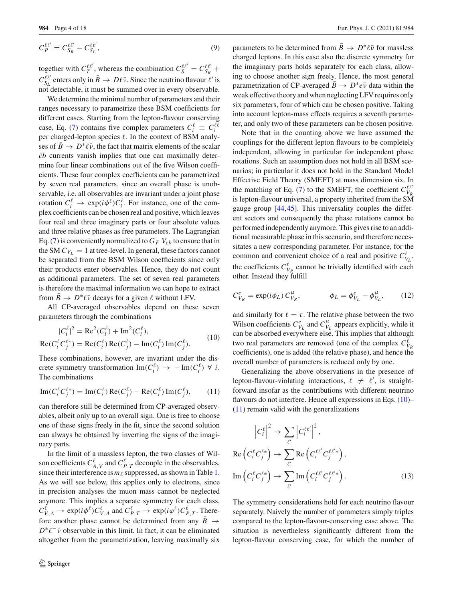$$
C_P^{\ell\ell'} = C_{S_R}^{\ell\ell'} - C_{S_L}^{\ell\ell'},\tag{9}
$$

together with  $C_T^{\ell\ell'}$ , whereas the combination  $C_S^{\ell\ell'} = C_{S_R}^{\ell\ell'}$  +  $C_{S_L}^{\ell\ell'}$  enters only in  $\bar{B} \to D\ell\bar{\nu}$ . Since the neutrino flavour  $\ell'$  is not detectable, it must be summed over in every observable.

We determine the minimal number of parameters and their ranges necessary to parametrize these BSM coefficients for different cases. Starting from the lepton-flavour conserving case, Eq. [\(7\)](#page-2-5) contains five complex parameters  $C_i^{\ell} \equiv C_i^{\ell\ell}$ per charged-lepton species  $\ell$ . In the context of BSM analyses of  $B \to D^* \ell \bar{\nu}$ , the fact that matrix elements of the scalar  $\bar{c}b$  currents vanish implies that one can maximally determine four linear combinations out of the five Wilson coefficients. These four complex coefficients can be parametrized by seven real parameters, since an overall phase is unobservable, i.e. all observables are invariant under a joint phase rotation  $C_i^{\ell} \to \exp(i\phi^{\ell}) C_i^{\ell}$ . For instance, one of the complex coefficients can be chosen real and positive, which leaves four real and three imaginary parts or four absolute values and three relative phases as free parameters. The Lagrangian Eq. [\(7\)](#page-2-5) is conveniently normalized to  $G_F V_{cb}$  to ensure that in the SM  $C_{V_1} = 1$  at tree-level. In general, these factors cannot be separated from the BSM Wilson coefficients since only their products enter observables. Hence, they do not count as additional parameters. The set of seven real parameters is therefore the maximal information we can hope to extract from  $B \to D^* \ell \bar{\nu}$  decays for a given  $\ell$  without LFV.

All CP-averaged observables depend on these seven parameters through the combinations

<span id="page-3-0"></span>
$$
|C_i^{\ell}|^2 = \text{Re}^2(C_i^{\ell}) + \text{Im}^2(C_i^{\ell}),
$$
  
\n
$$
\text{Re}(C_i^{\ell} C_j^{\ell*}) = \text{Re}(C_i^{\ell}) \text{Re}(C_j^{\ell}) - \text{Im}(C_i^{\ell}) \text{Im}(C_j^{\ell}).
$$
\n(10)

These combinations, however, are invariant under the discrete symmetry transformation  $\text{Im}(C_i^{\ell}) \to -\text{Im}(C_i^{\ell}) \forall i$ . The combinations

<span id="page-3-1"></span>
$$
\operatorname{Im}(C_i^{\ell} C_j^{\ell *}) = \operatorname{Im}(C_i^{\ell}) \operatorname{Re}(C_j^{\ell}) - \operatorname{Re}(C_i^{\ell}) \operatorname{Im}(C_j^{\ell}), \tag{11}
$$

can therefore still be determined from CP-averaged observables, albeit only up to an overall sign. One is free to choose one of these signs freely in the fit, since the second solution can always be obtained by inverting the signs of the imaginary parts.

In the limit of a massless lepton, the two classes of Wilson coefficients  $C_{A,V}^{\ell}$  and  $C_{P,T}^{\ell}$  decouple in the observables, since their interference is  $m_{\ell}$  suppressed, as shown in Table [1.](#page-4-0) As we will see below, this applies only to electrons, since in precision analyses the muon mass cannot be neglected anymore. This implies a separate symmetry for each class,  $C_{V,A}^{\ell} \to \exp(i\phi^{\ell})C_{V,A}^{\ell}$  and  $C_{P,T}^{\ell} \to \exp(i\phi^{\ell})C_{P,T}^{\ell}$ . Therefore another phase cannot be determined from any  $\overline{B}$   $\rightarrow$  $D^* \ell^- \bar{\nu}$  observable in this limit. In fact, it can be eliminated altogether from the parametrization, leaving maximally six

parameters to be determined from  $B \to D^* \ell \bar{\nu}$  for massless charged leptons. In this case also the discrete symmetry for the imaginary parts holds separately for each class, allowing to choose another sign freely. Hence, the most general parametrization of CP-averaged *B*  $\rightarrow$  *D*<sup>\*</sup>*e* $\bar{v}$  data within the weak effective theory and when neglecting LFV requires only six parameters, four of which can be chosen positive. Taking into account lepton-mass effects requires a seventh parameter, and only two of these parameters can be chosen positive.

Note that in the counting above we have assumed the couplings for the different lepton flavours to be completely independent, allowing in particular for independent phase rotations. Such an assumption does not hold in all BSM scenarios; in particular it does not hold in the Standard Model Effective Field Theory (SMEFT) at mass dimension six. In the matching of Eq. [\(7\)](#page-2-5) to the SMEFT, the coefficient  $C_{V_R}^{\ell\ell'}$ is lepton-flavour universal, a property inherited from the SM gauge group [\[44](#page-16-25)[,45](#page-16-26)]. This universality couples the different sectors and consequently the phase rotations cannot be performed independently anymore. This gives rise to an additional measurable phase in this scenario, and therefore necessitates a new corresponding parameter. For instance, for the common and convenient choice of a real and positive  $C_{V_L}^{\ell}$ , the coefficients  $C_{V_R}^{\ell}$  cannot be trivially identified with each other. Instead they fulfill

$$
C_{V_R}^e = \exp(i\phi_L) C_{V_R}^\mu, \qquad \phi_L = \phi_{V_L}^e - \phi_{V_L}^\mu, \qquad (12)
$$

and similarly for  $\ell = \tau$ . The relative phase between the two Wilson coefficients  $C_{V_L}^e$  and  $C_{V_L}^{\mu}$  appears explicitly, while it can be absorbed everywhere else. This implies that although two real parameters are removed (one of the complex  $C_{V_R}^{\ell}$ coefficients), one is added (the relative phase), and hence the overall number of parameters is reduced only by one.

Generalizing the above observations in the presence of lepton-flavour-violating interactions,  $\ell \neq \ell'$ , is straightforward insofar as the contributions with different neutrino flavours do not interfere. Hence all expressions in Eqs. [\(10\)](#page-3-0)– [\(11\)](#page-3-1) remain valid with the generalizations

<span id="page-3-2"></span>
$$
\left|C_i^{\ell}\right|^2 \to \sum_{\ell'} \left|C_i^{\ell\ell'}\right|^2,
$$
  
Re $\left(C_i^{\ell} C_j^{\ell*}\right) \to \sum_{\ell'} \text{Re}\left(C_i^{\ell\ell'} C_j^{\ell\ell'*}\right),$   

$$
\text{Im}\left(C_i^{\ell} C_j^{\ell*}\right) \to \sum_{\ell'} \text{Im}\left(C_i^{\ell\ell'} C_j^{\ell\ell'*}\right).
$$
 (13)

The symmetry considerations hold for each neutrino flavour separately. Naively the number of parameters simply triples compared to the lepton-flavour-conserving case above. The situation is nevertheless significantly different from the lepton-flavour conserving case, for which the number of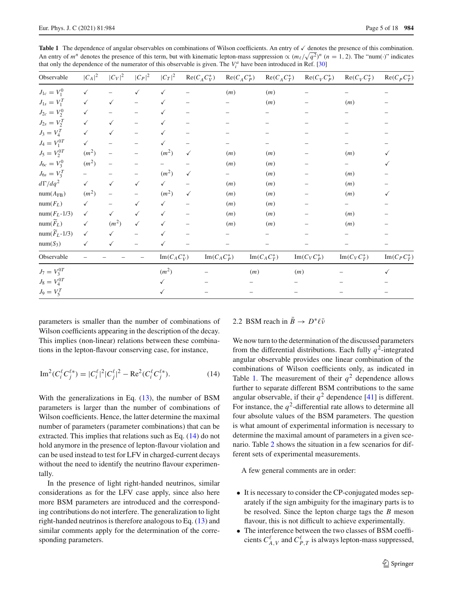<span id="page-4-0"></span>Table 1 The dependence of angular observables on combinations of Wilson coefficients. An entry of  $\checkmark$  denotes the presence of this combination. An entry of  $m^n$  denotes the presence of this term, but with kinematic lepton-mass suppression  $\propto (m_\ell/\sqrt{q^2})^n$  ( $n = 1, 2$ ). The "num(·)" indicates that only the dependence of the numerator of this observable is given. The  $V_i^a$  have been introduced in Ref. [\[30\]](#page-16-16)

| Observable                 | $ C_A ^2$                | $ C_V ^2$                | $ C_P ^2$         | $ C_T ^2$                      | $\text{Re}(C_A C_V^*)$ | $\text{Re}(C_A C_P^*)$         | $\text{Re}(C_A C_T^*)$         | $\text{Re}(C_V C_P^*)$         | $\text{Re}(C_V C_T^*)$         | $\text{Re}(C_p C_T^*)$         |
|----------------------------|--------------------------|--------------------------|-------------------|--------------------------------|------------------------|--------------------------------|--------------------------------|--------------------------------|--------------------------------|--------------------------------|
| $J_{1c} = V_1^0$           | $\checkmark$             |                          | $\checkmark$      | $\checkmark$                   |                        | (m)                            | (m)                            |                                |                                |                                |
| $J_{1s} = V_1^T$           | $\checkmark$             | $\checkmark$             |                   |                                |                        |                                | (m)                            |                                | (m)                            |                                |
| $J_{2c} = V_2^0$           | $\checkmark$             |                          |                   |                                |                        |                                |                                |                                |                                |                                |
| $J_{2s} = V_2^T$           | $\checkmark$             | $\checkmark$             | $\qquad \qquad -$ | $\checkmark$                   |                        |                                |                                |                                |                                |                                |
| $J_3 = V_4^T$              | $\checkmark$             | $\checkmark$             |                   |                                |                        |                                |                                |                                |                                |                                |
| $J_4 = V_1^{0T}$           | $\checkmark$             |                          |                   |                                |                        |                                |                                |                                |                                |                                |
| $J_5 = V_2^{0T}$           | $(m^2)$                  | $\overline{\phantom{0}}$ | $\qquad \qquad -$ | $(m^2)$                        | $\checkmark$           | (m)                            | (m)                            |                                | (m)                            |                                |
| $J_{6c} = V_3^0$           | $(m^2)$                  | $\qquad \qquad -$        |                   |                                |                        | (m)                            | (m)                            |                                |                                |                                |
| $J_{6s} = V_3^T$           | $\overline{\phantom{0}}$ | $\overline{\phantom{0}}$ |                   | $(m^2)$                        | $\checkmark$           |                                | (m)                            |                                | (m)                            |                                |
| $d\Gamma/dq^2$             | $\checkmark$             | $\checkmark$             | $\checkmark$      | $\checkmark$                   |                        | (m)                            | (m)                            |                                | (m)                            |                                |
| $num(A_{FB})$              | $(m^2)$                  | $\overline{\phantom{0}}$ |                   | $(m^2)$                        | $\checkmark$           | (m)                            | (m)                            |                                | (m)                            |                                |
| $num(F_L)$                 | $\checkmark$             |                          | ✓                 | $\checkmark$                   |                        | (m)                            | (m)                            |                                |                                |                                |
| $num(F_L-1/3)$             | $\checkmark$             | $\checkmark$             | $\checkmark$      | $\checkmark$                   |                        | (m)                            | (m)                            |                                | (m)                            |                                |
| $num(\widetilde{F}_L)$     | $\checkmark$             | (m <sup>2</sup> )        | $\checkmark$      | $\checkmark$                   |                        | (m)                            | (m)                            |                                | (m)                            |                                |
| $num(\widetilde{F}_L-1/3)$ | $\checkmark$             | $\checkmark$             |                   | $\checkmark$                   |                        |                                |                                |                                |                                |                                |
| $num(S_3)$                 | $\checkmark$             | $\checkmark$             |                   | $\checkmark$                   |                        |                                |                                |                                |                                |                                |
| Observable                 |                          |                          |                   | $\operatorname{Im}(C_A C_V^*)$ |                        | $\operatorname{Im}(C_A C_P^*)$ | $\operatorname{Im}(C_A C_T^*)$ | $\operatorname{Im}(C_V C_P^*)$ | $\operatorname{Im}(C_V C_T^*)$ | $\operatorname{Im}(C_P C_T^*)$ |
| $J_7 = V_3^{0T}$           |                          |                          |                   | $(m^2)$                        |                        |                                | (m)                            | (m)                            |                                | $\checkmark$                   |
| $J_8 = V_4^{0T}$           |                          |                          |                   |                                |                        |                                |                                |                                |                                |                                |
| $J_9 = V_5^T$              |                          |                          |                   |                                |                        |                                |                                |                                |                                |                                |

parameters is smaller than the number of combinations of Wilson coefficients appearing in the description of the decay. This implies (non-linear) relations between these combinations in the lepton-flavour conserving case, for instance,

<span id="page-4-1"></span>Im<sup>2</sup>(
$$
C_i^{\ell} C_j^{\ell*}
$$
) =  $|C_i^{\ell}|^2 |C_j^{\ell}|^2 - \text{Re}^2 (C_i^{\ell} C_j^{\ell*}).$  (14)

With the generalizations in Eq. [\(13\)](#page-3-2), the number of BSM parameters is larger than the number of combinations of Wilson coefficients. Hence, the latter determine the maximal number of parameters (parameter combinations) that can be extracted. This implies that relations such as Eq. [\(14\)](#page-4-1) do not hold anymore in the presence of lepton-flavour violation and can be used instead to test for LFV in charged-current decays without the need to identify the neutrino flavour experimentally.

In the presence of light right-handed neutrinos, similar considerations as for the LFV case apply, since also here more BSM parameters are introduced and the corresponding contributions do not interfere. The generalization to light right-handed neutrinos is therefore analogous to Eq. [\(13\)](#page-3-2) and similar comments apply for the determination of the corresponding parameters.

## 2.2 BSM reach in  $B \to D^* \ell \bar{\nu}$

We now turn to the determination of the discussed parameters from the differential distributions. Each fully  $q^2$ -integrated angular observable provides one linear combination of the combinations of Wilson coefficients only, as indicated in Table [1.](#page-4-0) The measurement of their  $q^2$  dependence allows further to separate different BSM contributions to the same angular observable, if their  $q^2$  dependence [\[41](#page-16-21)] is different. For instance, the  $q^2$ -differential rate allows to determine all four absolute values of the BSM parameters. The question is what amount of experimental information is necessary to determine the maximal amount of parameters in a given scenario. Table [2](#page-5-0) shows the situation in a few scenarios for different sets of experimental measurements.

A few general comments are in order:

- It is necessary to consider the CP-conjugated modes separately if the sign ambiguity for the imaginary parts is to be resolved. Since the lepton charge tags the *B* meson flavour, this is not difficult to achieve experimentally.
- The interference between the two classes of BSM coefficients  $C_{A,V}^{\ell}$  and  $C_{P,T}^{\ell}$  is always lepton-mass suppressed,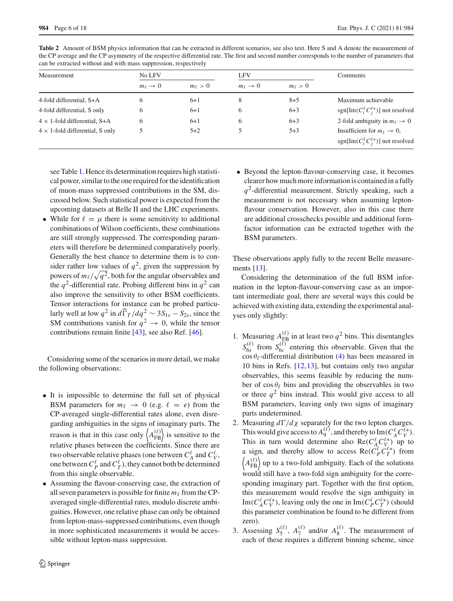| can be extracted whilput and with mass suppression, respectively |                          |                |                          |                |                                                   |  |  |  |
|------------------------------------------------------------------|--------------------------|----------------|--------------------------|----------------|---------------------------------------------------|--|--|--|
| Measurement                                                      | No LFV                   |                | <b>LFV</b>               |                | Comments                                          |  |  |  |
|                                                                  | $m_{\ell} \rightarrow 0$ | $m_{\ell} > 0$ | $m_{\ell} \rightarrow 0$ | $m_{\ell} > 0$ |                                                   |  |  |  |
| 4-fold differential, S+A                                         | 6                        | $6 + 1$        | 8                        | $8 + 5$        | Maximum achievable                                |  |  |  |
| 4-fold differential, S only                                      | 6                        | $6 + 1$        | 6                        | $6 + 3$        | sgn[Im( $C_i^{\ell} C_j^{\ell *}$ )] not resolved |  |  |  |
| $4 \times$ 1-fold differential, S+A                              | 6                        | $6 + 1$        | 6                        | $6+3$          | 2-fold ambiguity in $m_\ell \to 0$                |  |  |  |
| $4 \times$ 1-fold differential, S only                           |                          | $5 + 2$        |                          | $5 + 3$        | Insufficient for $m_\ell \to 0$ ,                 |  |  |  |
|                                                                  |                          |                |                          |                | sgn[Im( $C_i^{\ell} C_j^{\ell *}$ )] not resolved |  |  |  |

<span id="page-5-0"></span>**Table 2** Amount of BSM physics information that can be extracted in different scenarios, see also text. Here S and A denote the measurement of the CP average and the CP asymmetry of the respective differential rate. The first and second number corresponds to the number of parameters that can be extracted without and with mass suppression respectively. can be extracted without and with mass suppr

see Table [1.](#page-4-0) Hence its determination requires high statistical power, similar to the one required for the identification of muon-mass suppressed contributions in the SM, discussed below. Such statistical power is expected from the upcoming datasets at Belle II and the LHC experiments.

• While for  $\ell = \mu$  there is some sensitivity to additional combinations of Wilson coefficients, these combinations are still strongly suppressed. The corresponding parameters will therefore be determined comparatively poorly. Generally the best chance to determine them is to consider rather low values of  $q^2$ , given the suppression by powers of  $m_{\ell} / \sqrt{q^2}$ , both for the angular observables and the  $q^2$ -differential rate. Probing different bins in  $q^2$  can also improve the sensitivity to other BSM coefficients. Tensor interactions for instance can be probed particularly well at low  $q^2$  in  $d\widehat{\Gamma}_T/dq^2 \sim 3S_{1s} - S_{2s}$ , since the SM contributions vanish for  $q^2 \to 0$ , while the tensor contributions remain finite [\[43](#page-16-24)], see also Ref. [\[46\]](#page-16-27).

Considering some of the scenarios in more detail, we make the following observations:

- It is impossible to determine the full set of physical BSM parameters for  $m_{\ell} \rightarrow 0$  (e.g.  $\ell = e$ ) from the CP-averaged single-differential rates alone, even disregarding ambiguities in the signs of imaginary parts. The reason is that in this case only  $\langle A_{FB}^{(\ell)} \rangle$  is sensitive to the relative phases between the coefficients. Since there are two observable relative phases (one between  $C_A^{\ell}$  and  $C_V^{\ell}$ , one between  $C_P^{\ell}$  and  $C_T^{\ell}$ ), they cannot both be determined from this single observable.
- Assuming the flavour-conserving case, the extraction of all seven parameters is possible for finite  $m_\ell$  from the CPaveraged single-differential rates, modulo discrete ambiguities. However, one relative phase can only be obtained from lepton-mass-suppressed contributions, even though in more sophisticated measurements it would be accessible without lepton-mass suppression.

• Beyond the lepton-flavour-conserving case, it becomes clearer how much more information is contained in a fully *q*2-differential measurement. Strictly speaking, such a measurement is not necessary when assuming leptonflavour conservation. However, also in this case there are additional crosschecks possible and additional formfactor information can be extracted together with the BSM parameters.

These observations apply fully to the recent Belle measurements [\[13\]](#page-16-3).

Considering the determination of the full BSM information in the lepton-flavour-conserving case as an important intermediate goal, there are several ways this could be achieved with existing data, extending the experimental analyses only slightly:

- 1. Measuring  $A_{\text{FB}}^{(\ell)}$  in at least two  $q^2$  bins. This disentangles  $S_{6s}^{(\ell)}$  from  $S_{6c}^{(\ell)}$  entering this observable. Given that the  $\cos \theta_{\ell}$ -differential distribution [\(4\)](#page-2-6) has been measured in 10 bins in Refs. [\[12](#page-16-22),[13\]](#page-16-3), but contains only two angular observables, this seems feasible by reducing the number of  $\cos \theta_{\ell}$  bins and providing the observables in two or three  $q^2$  bins instead. This would give access to all BSM parameters, leaving only two signs of imaginary parts undetermined.
- 2. Measuring  $d\Gamma/d\chi$  separately for the two lepton charges. This would give access to  $A_9^{(\ell)}$ , and thereby to  $\text{Im}(C_A^{\ell} C_V^{\ell*})$ . This in turn would determine also  $\text{Re}(C_A^{\ell} C_V^{\ell*})$  up to a sign, and thereby allow to access  $\text{Re}(\tilde{C}_P^{\ell} C_T^{\ell*})$  from  $\langle A_{FB}^{(\ell)} \rangle$  up to a two-fold ambiguity. Each of the solutions would still have a two-fold sign ambiguity for the corresponding imaginary part. Together with the first option, this measurement would resolve the sign ambiguity in Im( $C_A^{\ell} C_V^{\ell*}$ ), leaving only the one in Im( $C_P^{\ell} C_T^{\ell*}$ ) (should this parameter combination be found to be different from zero).
- 3. Assessing  $S_5^{(\ell)}$ ,  $A_7^{(\ell)}$  and/or  $A_8^{(\ell)}$ . The measurement of each of these requires a different binning scheme, since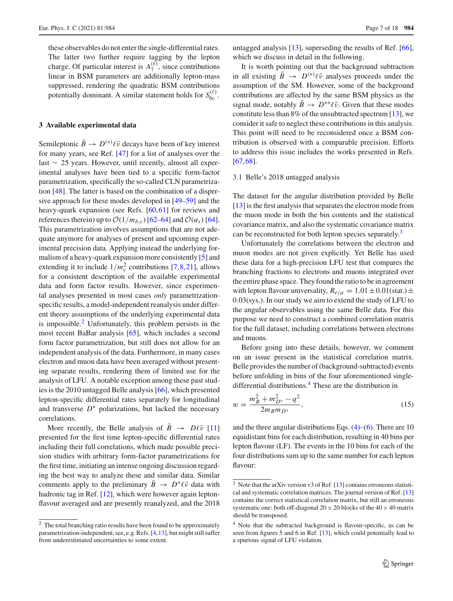these observables do not enter the single-differential rates. The latter two further require tagging by the lepton charge. Of particular interest is  $A_7^{(\ell)}$ , since contributions linear in BSM parameters are additionally lepton-mass suppressed, rendering the quadratic BSM contributions potentially dominant. A similar statement holds for  $S_{6c}^{(\ell)}$ .

## <span id="page-6-0"></span>**3 Available experimental data**

Semileptonic  $\bar{B} \to D^{(*)} \ell \bar{\nu}$  decays have been of key interest for many years, see Ref. [\[47\]](#page-16-28) for a list of analyses over the last ∼ 25 years. However, until recently, almost all experimental analyses have been tied to a specific form-factor parametrization, specifically the so-called CLN parametrization [\[48](#page-16-29)]. The latter is based on the combination of a dispersive approach for these modes developed in [\[49](#page-16-30)[–59](#page-16-31)] and the heavy-quark expansion (see Refs. [\[60](#page-16-32),[61\]](#page-16-33) for reviews and references therein) up to  $\mathcal{O}(1/m_{b,c})$  [\[62](#page-16-34)[–64\]](#page-16-35) and  $\mathcal{O}(\alpha_s)$  [\[64](#page-16-35)]. This parametrization involves assumptions that are not adequate anymore for analyses of present and upcoming experimental precision data. Applying instead the underlying formalism of a heavy-quark expansion more consistently [\[5\]](#page-15-3) and extending it to include  $1/m_c^2$  contributions [\[7](#page-16-7)[,8](#page-16-8),[21\]](#page-16-9), allows for a consistent description of the available experimental data and form factor results. However, since experimental analyses presented in most cases *only* parametrizationspecific results, a model-independent reanalysis under different theory assumptions of the underlying experimental data is impossible. $^{2}$  Unfortunately, this problem persists in the most recent BaBar analysis [\[65\]](#page-16-36), which includes a second form factor parametrization, but still does not allow for an independent analysis of the data. Furthermore, in many cases electron and muon data have been averaged without presenting separate results, rendering them of limited use for the analysis of LFU. A notable exception among these past studies is the 2010 untagged Belle analysis [\[66](#page-16-37)], which presented lepton-specific differential rates separately for longitudinal and transverse  $D^*$  polarizations, but lacked the necessary correlations.

More recently, the Belle analysis of  $B \to D\ell\bar{\nu}$  [\[11\]](#page-16-1) presented for the first time lepton-specific differential rates including their full correlations, which made possible precision studies with arbitrary form-factor parametrizations for the first time, initiating an intense ongoing discussion regarding the best way to analyze these and similar data. Similar comments apply to the preliminary  $B \to D^* \ell \bar{\nu}$  data with hadronic tag in Ref. [\[12\]](#page-16-22), which were however again leptonflavour averaged and are presently reanalyzed, and the 2018

untagged analysis  $[13]$  $[13]$ , superseding the results of Ref.  $[66]$  $[66]$ , which we discuss in detail in the following.

It is worth pointing out that the background subtraction in all existing  $\bar{B} \rightarrow D^{(*)} \ell \bar{\nu}$  analyses proceeds under the assumption of the SM. However, some of the background contributions are affected by the same BSM physics as the signal mode, notably  $B \to D^{**} \ell \bar{\nu}$ . Given that these modes constitute less than 8% of the unsubtracted spectrum [\[13](#page-16-3)], we consider it safe to neglect these contributions in this analysis. This point will need to be reconsidered once a BSM contribution is observed with a comparable precision. Efforts to address this issue includes the works presented in Refs. [\[67](#page-16-38),[68\]](#page-16-39).

## <span id="page-6-4"></span>3.1 Belle's 2018 untagged analysis

The dataset for the angular distribution provided by Belle [\[13](#page-16-3)] is the first analysis that separates the electron mode from the muon mode in both the bin contents and the statistical covariance matrix, and also the systematic covariance matrix can be reconstructed for both lepton species separately.<sup>[3](#page-6-2)</sup>

Unfortunately the correlations between the electron and muon modes are not given explicitly. Yet Belle has used these data for a high-precision LFU test that compares the branching fractions to electrons and muons integrated over the entire phase space. They found the ratio to be in agreement with lepton flavour universality,  $R_{e/\mu} = 1.01 \pm 0.01$  (stat.)  $\pm$ 0.03(sys.). In our study we aim to extend the study of LFU to the angular observables using the same Belle data. For this purpose we need to construct a combined correlation matrix for the full dataset, including correlations between electrons and muons.

Before going into these details, however, we comment on an issue present in the statistical correlation matrix. Belle provides the number of (background-subtracted) events before unfolding in bins of the four aforementioned singledifferential distributions[.4](#page-6-3) These are the distribution in

$$
w = \frac{m_B^2 + m_{D^*}^2 - q^2}{2m_B m_{D^*}},
$$
\n(15)

and the three angular distributions Eqs.  $(4)$ – $(6)$ . There are 10 equidistant bins for each distribution, resulting in 40 bins per lepton flavour (LF). The events in the 10 bins for each of the four distributions sum up to the same number for each lepton flavour:

<span id="page-6-1"></span><sup>2</sup> The total branching ratio results have been found to be approximately parametrization-independent, see, e.g. Refs. [\[4](#page-15-4)[,13\]](#page-16-3), but might still suffer from underestimated uncertainties to some extent.

<span id="page-6-2"></span> $\frac{3}{3}$  Note that the arXiv version v3 of Ref. [\[13](#page-16-3)] contains erroneous statistical and systematic correlation matrices. The journal version of Ref. [\[13](#page-16-3)] contains the correct statistical correlation matrix, but still an erroneous systematic one: both off-diagonal  $20 \times 20$  blocks of the  $40 \times 40$  matrix should be transposed.

<span id="page-6-3"></span><sup>&</sup>lt;sup>4</sup> Note that the subtracted background is flavour-specific, as can be seen from figures 5 and 6 in Ref. [\[13\]](#page-16-3), which could potentially lead to a spurious signal of LFU violation.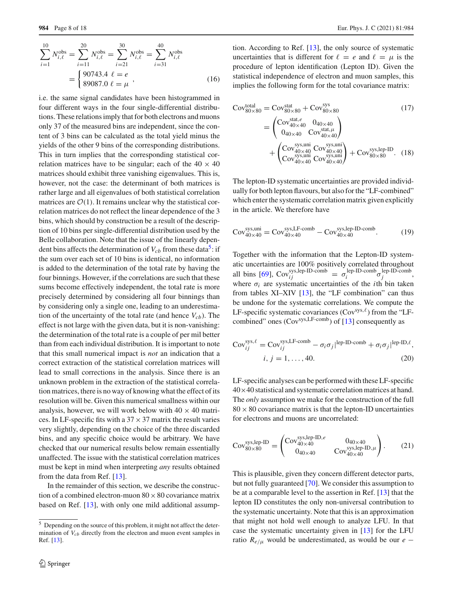$$
\sum_{i=1}^{10} N_{i,\ell}^{\text{obs}} = \sum_{i=11}^{20} N_{i,\ell}^{\text{obs}} = \sum_{i=21}^{30} N_{i,\ell}^{\text{obs}} = \sum_{i=31}^{40} N_{i,\ell}^{\text{obs}} = \begin{cases} 90743.4 & \ell = e \\ 89087.0 & \ell = \mu \end{cases}
$$
 (16)

i.e. the same signal candidates have been histogrammed in four different ways in the four single-differential distributions. These relations imply that for both electrons and muons only 37 of the measured bins are independent, since the content of 3 bins can be calculated as the total yield minus the yields of the other 9 bins of the corresponding distributions. This in turn implies that the corresponding statistical correlation matrices have to be singular; each of the  $40 \times 40$ matrices should exhibit three vanishing eigenvalues. This is, however, not the case: the determinant of both matrices is rather large and all eigenvalues of both statistical correlation matrices are  $O(1)$ . It remains unclear why the statistical correlation matrices do not reflect the linear dependence of the 3 bins, which should by construction be a result of the description of 10 bins per single-differential distribution used by the Belle collaboration. Note that the issue of the linearly dependent bins affects the determination of  $V_{cb}$  from these data<sup>3</sup>: if the sum over each set of 10 bins is identical, no information is added to the determination of the total rate by having the four binnings. However, if the correlations are such that these sums become effectively independent, the total rate is more precisely determined by considering all four binnings than by considering only a single one, leading to an underestimation of the uncertainty of the total rate (and hence  $V_{cb}$ ). The effect is not large with the given data, but it is non-vanishing: the determination of the total rate is a couple of per mil better than from each individual distribution. It is important to note that this small numerical impact is *not* an indication that a correct extraction of the statistical correlation matrices will lead to small corrections in the analysis. Since there is an unknown problem in the extraction of the statistical correlation matrices, there is no way of knowing what the effect of its resolution will be. Given this numerical smallness within our analysis, however, we will work below with  $40 \times 40$  matrices. In LF-specific fits with a  $37 \times 37$  matrix the result varies very slightly, depending on the choice of the three discarded bins, and any specific choice would be arbitrary. We have checked that our numerical results below remain essentially unaffected. The issue with the statistical correlation matrices must be kept in mind when interpreting *any* results obtained from the data from Ref. [\[13](#page-16-3)].

In the remainder of this section, we describe the construction of a combined electron-muon  $80 \times 80$  covariance matrix based on Ref. [\[13](#page-16-3)], with only one mild additional assumption. According to Ref. [\[13\]](#page-16-3), the only source of systematic uncertainties that is different for  $\ell = e$  and  $\ell = \mu$  is the procedure of lepton identification (Lepton ID). Given the statistical independence of electron and muon samples, this implies the following form for the total covariance matrix:

$$
Cov_{80\times80}^{\text{total}} = Cov_{80\times80}^{\text{stat}} + Cov_{80\times80}^{\text{sys}} \tag{17}
$$
\n
$$
= \begin{pmatrix} Cov_{40\times40}^{\text{stat},e} & 0_{40\times40} \\ 0_{40\times40} & Cov_{40\times40}^{\text{stat},\mu} \end{pmatrix} + \begin{pmatrix} Cov_{40\times40}^{\text{sys},\text{uni}} & 0_{\text{sys,kin}} \\ Cov_{40\times40}^{\text{sys},\text{uni}} & Cov_{40\times40}^{\text{sys},\text{uni}} \end{pmatrix} + Cov_{80\times80}^{\text{sys,lep-ID}. \tag{18}
$$

The lepton-ID systematic uncertainties are provided individually for both lepton flavours, but also for the "LF-combined" which enter the systematic correlation matrix given explicitly in the article. We therefore have

$$
Cov_{40\times40}^{sys,uni} = Cov_{40\times40}^{sys,LF-comb} - Cov_{40\times40}^{sys,lep-ID-comb}.
$$
 (19)

Together with the information that the Lepton-ID systematic uncertainties are 100% positively correlated throughout all bins [\[69\]](#page-16-40),  $Cov_{ij}^{sys,lep-ID-comb} = \sigma_i^{lep-ID-comb} \sigma_j^{lep-ID-comb}$ , where  $\sigma_i$  are systematic uncertainties of the *i*th bin taken from tables XI–XIV [\[13\]](#page-16-3), the "LF combination" can thus be undone for the systematic correlations. We compute the LF-specific systematic covariances  $(Cov<sup>sys, \ell</sup>)$  from the "LFcombined" ones  $(Cov<sup>sys, LF-comb</sup>)$  of [\[13](#page-16-3)] consequently as

$$
Cov_{ij}^{sys, \ell} = Cov_{ij}^{sys, LF-comb} - \sigma_i \sigma_j |^{lep\text{-ID-comb}} + \sigma_i \sigma_j |^{lep\text{-ID}, \ell},
$$
  
*i*, *j* = 1, ..., 40. (20)

LF-specific analyses can be performed with these LF-specific  $40\times40$  statistical and systematic correlation matrices at hand. The *only* assumption we make for the construction of the full  $80 \times 80$  covariance matrix is that the lepton-ID uncertainties for electrons and muons are uncorrelated:

$$
Cov_{80\times80}^{sys,lep-ID} = \begin{pmatrix} Cov_{40\times40}^{sys,lep-ID,e} & 0_{40\times40} \\ 0_{40\times40} & Cov_{40\times40}^{sys,lep-ID,\mu} \end{pmatrix}.
$$
 (21)

This is plausible, given they concern different detector parts, but not fully guaranteed [\[70\]](#page-16-41). We consider this assumption to be at a comparable level to the assertion in Ref. [\[13](#page-16-3)] that the lepton ID constitutes the only non-universal contribution to the systematic uncertainty. Note that this is an approximation that might not hold well enough to analyze LFU. In that case the systematic uncertainty given in [\[13](#page-16-3)] for the LFU ratio  $R_{e/\mu}$  would be underestimated, as would be our *e* −

<span id="page-7-0"></span><sup>5</sup> Depending on the source of this problem, it might not affect the determination of *Vcb* directly from the electron and muon event samples in Ref. [\[13\]](#page-16-3).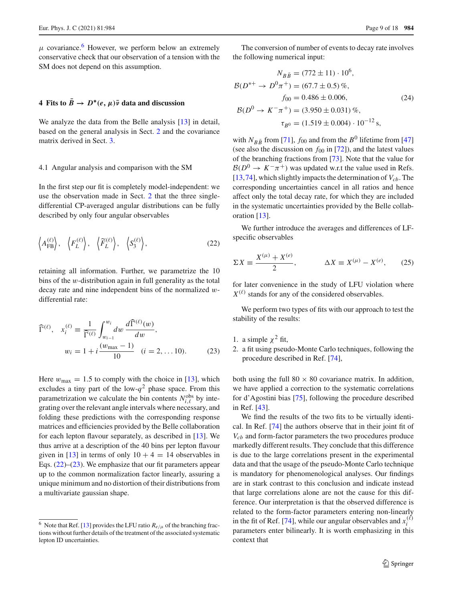$\mu$  covariance.<sup>[6](#page-8-1)</sup> However, we perform below an extremely conservative check that our observation of a tension with the SM does not depend on this assumption.

## <span id="page-8-0"></span>**4** Fits to  $\bar{B} \rightarrow D^*(e, \mu)\bar{\nu}$  data and discussion

We analyze the data from the Belle analysis [\[13](#page-16-3)] in detail. based on the general analysis in Sect. [2](#page-1-0) and the covariance matrix derived in Sect. [3.](#page-6-0)

#### 4.1 Angular analysis and comparison with the SM

In the first step our fit is completely model-independent: we use the observation made in Sect. [2](#page-1-0) that the three singledifferential CP-averaged angular distributions can be fully described by only four angular observables

$$
\langle A_{\text{FB}}^{(\ell)} \rangle, \quad \langle F_L^{(\ell)} \rangle, \quad \langle \widetilde{F}_L^{(\ell)} \rangle, \quad \langle S_3^{(\ell)} \rangle,
$$
 (22)

retaining all information. Further, we parametrize the 10 bins of the w-distribution again in full generality as the total decay rate and nine independent bins of the normalized wdifferential rate:

$$
\widehat{\Gamma}^{(\ell)}, \quad x_i^{(\ell)} \equiv \frac{1}{\widehat{\Gamma}^{(\ell)}} \int_{w_{i-1}}^{w_i} dw \, \frac{d\widehat{\Gamma}^{(\ell)}(w)}{dw},
$$
\n
$$
w_i = 1 + i \frac{(w_{\text{max}} - 1)}{10} \quad (i = 2, \dots 10). \tag{23}
$$

Here  $w_{\text{max}} = 1.5$  to comply with the choice in [\[13](#page-16-3)], which excludes a tiny part of the low- $q^2$  phase space. From this parametrization we calculate the bin contents  $N_{i,\ell}^{\text{obs}}$  by integrating over the relevant angle intervals where necessary, and folding these predictions with the corresponding response matrices and efficiencies provided by the Belle collaboration for each lepton flavour separately, as described in [\[13](#page-16-3)]. We thus arrive at a description of the 40 bins per lepton flavour given in [\[13](#page-16-3)] in terms of only  $10 + 4 = 14$  observables in Eqs. [\(22\)](#page-8-2)–[\(23\)](#page-8-3). We emphasize that our fit parameters appear up to the common normalization factor linearly, assuring a unique minimum and no distortion of their distributions from a multivariate gaussian shape.

The conversion of number of events to decay rate involves the following numerical input:

$$
N_{B\bar{B}} = (772 \pm 11) \cdot 10^6,
$$
  
\n
$$
\mathcal{B}(D^{*+} \to D^0 \pi^+) = (67.7 \pm 0.5) \%,
$$
  
\n
$$
f_{00} = 0.486 \pm 0.006,
$$
  
\n
$$
\mathcal{B}(D^0 \to K^- \pi^+) = (3.950 \pm 0.031) \%,
$$
  
\n
$$
\tau_{B^0} = (1.519 \pm 0.004) \cdot 10^{-12} \text{ s},
$$

with  $N_{B\bar{B}}$  from [\[71\]](#page-16-42),  $f_{00}$  and from the  $B^0$  lifetime from [\[47\]](#page-16-28) (see also the discussion on  $f_{00}$  in [\[72\]](#page-16-43)), and the latest values of the branching fractions from [\[73](#page-16-44)]. Note that the value for  $B(D^0 \rightarrow K^-\pi^+)$  was updated w.r.t the value used in Refs.  $[13,74]$  $[13,74]$  $[13,74]$ , which slightly impacts the determination of  $V_{cb}$ . The corresponding uncertainties cancel in all ratios and hence affect only the total decay rate, for which they are included in the systematic uncertainties provided by the Belle collaboration [\[13](#page-16-3)].

<span id="page-8-2"></span>We further introduce the averages and differences of LFspecific observables

$$
\Sigma X \equiv \frac{X^{(\mu)} + X^{(e)}}{2}, \qquad \Delta X \equiv X^{(\mu)} - X^{(e)}, \qquad (25)
$$

for later convenience in the study of LFU violation where  $X^{(\ell)}$  stands for any of the considered observables.

We perform two types of fits with our approach to test the stability of the results:

- <span id="page-8-3"></span>1. a simple  $\chi^2$  fit,
- 2. a fit using pseudo-Monte Carlo techniques, following the procedure described in Ref. [\[74](#page-16-45)],

both using the full  $80 \times 80$  covariance matrix. In addition, we have applied a correction to the systematic correlations for d'Agostini bias [\[75](#page-16-46)], following the procedure described in Ref. [\[43](#page-16-24)].

We find the results of the two fits to be virtually identical. In Ref. [\[74](#page-16-45)] the authors observe that in their joint fit of *Vcb* and form-factor parameters the two procedures produce markedly different results. They conclude that this difference is due to the large correlations present in the experimental data and that the usage of the pseudo-Monte Carlo technique is mandatory for phenomenological analyses. Our findings are in stark contrast to this conclusion and indicate instead that large correlations alone are not the cause for this difference. Our interpretation is that the observed difference is related to the form-factor parameters entering non-linearly in the fit of Ref. [\[74\]](#page-16-45), while our angular observables and  $x_i^{(\ell)}$ *i* parameters enter bilinearly. It is worth emphasizing in this context that

<span id="page-8-1"></span><sup>&</sup>lt;sup>6</sup> Note that Ref. [\[13](#page-16-3)] provides the LFU ratio  $R_{e/\mu}$  of the branching fractions without further details of the treatment of the associated systematic lepton ID uncertainties.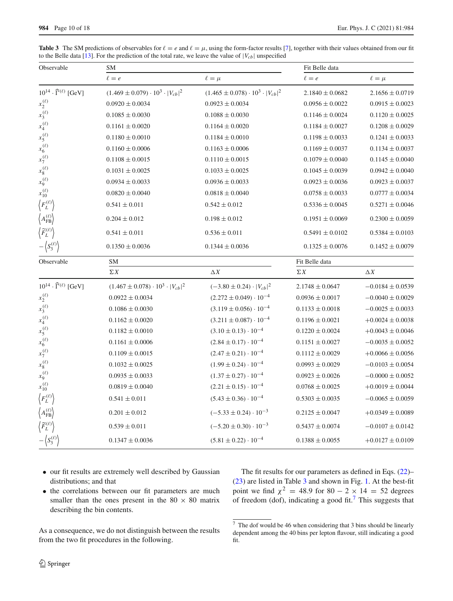| Observable                                      | SΜ                                              | Fit Belle data                                  |                     |                      |
|-------------------------------------------------|-------------------------------------------------|-------------------------------------------------|---------------------|----------------------|
|                                                 | $\ell = e$                                      | $\ell = \mu$                                    | $\ell = e$          | $\ell = \mu$         |
| $10^{14} \cdot \widehat{\Gamma}^{(\ell)}$ [GeV] | $(1.469 \pm 0.079) \cdot 10^3 \cdot  V_{cb} ^2$ | $(1.465 \pm 0.078) \cdot 10^3 \cdot  V_{cb} ^2$ | $2.1840 \pm 0.0682$ | $2.1656 \pm 0.0719$  |
| $x_2^{(\ell)}$                                  | $0.0920 \pm 0.0034$                             | $0.0923 \pm 0.0034$                             | $0.0956 \pm 0.0022$ | $0.0915 \pm 0.0023$  |
| $x_3^{(\ell)}$                                  | $0.1085 \pm 0.0030$                             | $0.1088 \pm 0.0030$                             | $0.1146 \pm 0.0024$ | $0.1120 \pm 0.0025$  |
| $x_4^{(\ell)}$                                  | $0.1161 \pm 0.0020$                             | $0.1164 \pm 0.0020$                             | $0.1184 \pm 0.0027$ | $0.1208 \pm 0.0029$  |
| $x_5^{(\ell)}$                                  | $0.1180 \pm 0.0010$                             | $0.1184 \pm 0.0010$                             | $0.1198 \pm 0.0033$ | $0.1241 \pm 0.0033$  |
| $x_6^{(\ell)}$                                  | $0.1160 \pm 0.0006$                             | $0.1163 \pm 0.0006$                             | $0.1169 \pm 0.0037$ | $0.1134 \pm 0.0037$  |
| $x_7^{(\ell)}$                                  | $0.1108 \pm 0.0015$                             | $0.1110 \pm 0.0015$                             | $0.1079 \pm 0.0040$ | $0.1145 \pm 0.0040$  |
| $x_8^{(\ell)}$                                  | $0.1031 \pm 0.0025$                             | $0.1033 \pm 0.0025$                             | $0.1045 \pm 0.0039$ | $0.0942 \pm 0.0040$  |
| $x_9^{(\ell)}$                                  | $0.0934 \pm 0.0033$                             | $0.0936 \pm 0.0033$                             | $0.0923 \pm 0.0036$ | $0.0923 \pm 0.0037$  |
| $x_{10}^{(\ell)}$                               | $0.0820 \pm 0.0040$                             | $0.0818 \pm 0.0040$                             | $0.0758 \pm 0.0033$ | $0.0777 \pm 0.0034$  |
|                                                 | $0.541 \pm 0.011$                               | $0.542\pm0.012$                                 | $0.5336 \pm 0.0045$ | $0.5271 \pm 0.0046$  |
|                                                 | $0.204 \pm 0.012$                               | $0.198 \pm 0.012$                               | $0.1951 \pm 0.0069$ | $0.2300 \pm 0.0059$  |
|                                                 | $0.541 \pm 0.011$                               | $0.536 \pm 0.011$                               | $0.5491 \pm 0.0102$ | $0.5384 \pm 0.0103$  |
| $-\langle S_3^{(\ell)} \rangle$                 | $0.1350 \pm 0.0036$                             | $0.1344 \pm 0.0036$                             | $0.1325 \pm 0.0076$ | $0.1452 \pm 0.0079$  |
| Observable                                      | SΜ                                              | Fit Belle data                                  |                     |                      |
|                                                 | $\Sigma X$                                      | $\Delta X$                                      | $\Sigma X$          | $\Delta X$           |
| $10^{14} \cdot \widehat{\Gamma}^{(\ell)}$ [GeV] | $(1.467 \pm 0.078) \cdot 10^3 \cdot  V_{cb} ^2$ | $(-3.80 \pm 0.24) \cdot  V_{cb} ^2$             | $2.1748 \pm 0.0647$ | $-0.0184 \pm 0.0539$ |
| $x_2^{(\ell)}$                                  | $0.0922 \pm 0.0034$                             | $(2.272 \pm 0.049) \cdot 10^{-4}$               | $0.0936 \pm 0.0017$ | $-0.0040 \pm 0.0029$ |
| $x_3^{(\ell)}$                                  | $0.1086 \pm 0.0030$                             | $(3.119 \pm 0.056) \cdot 10^{-4}$               | $0.1133 \pm 0.0018$ | $-0.0025 \pm 0.0033$ |
| $x_4^{(\ell)}$                                  | $0.1162 \pm 0.0020$                             | $(3.211 \pm 0.087)\cdot 10^{-4}$                | $0.1196 \pm 0.0021$ | $+0.0024 \pm 0.0038$ |
| $x_5^{(\ell)}$                                  | $0.1182 \pm 0.0010$                             | $(3.10 \pm 0.13) \cdot 10^{-4}$                 | $0.1220 \pm 0.0024$ | $+0.0043 \pm 0.0046$ |
| $x_6^{(\ell)}$                                  | $0.1161 \pm 0.0006$                             | $(2.84 \pm 0.17) \cdot 10^{-4}$                 | $0.1151 \pm 0.0027$ | $-0.0035 \pm 0.0052$ |
| $x_7^{(\ell)}$                                  | $0.1109 \pm 0.0015$                             | $(2.47 \pm 0.21) \cdot 10^{-4}$                 | $0.1112 \pm 0.0029$ | $+0.0066 \pm 0.0056$ |
| $x_8^{(\ell)}$                                  | $0.1032 \pm 0.0025$                             | $(1.99 \pm 0.24) \cdot 10^{-4}$                 | $0.0993 \pm 0.0029$ | $-0.0103 \pm 0.0054$ |
| $x_9^{(\ell)}$                                  | $0.0935 \pm 0.0033$                             | $(1.37 \pm 0.27) \cdot 10^{-4}$                 | $0.0923 \pm 0.0026$ | $-0.0000 \pm 0.0052$ |
| $x_{10}^{(\ell)}$                               | $0.0819 \pm 0.0040$                             | $(2.21 \pm 0.15) \cdot 10^{-4}$                 | $0.0768 \pm 0.0025$ | $+0.0019 \pm 0.0044$ |
|                                                 | $0.541 \pm 0.011$                               | $(5.43 \pm 0.36) \cdot 10^{-4}$                 | $0.5303 \pm 0.0035$ | $-0.0065 \pm 0.0059$ |
|                                                 | $0.201 \pm 0.012$                               | $(-5.33 \pm 0.24) \cdot 10^{-3}$                | $0.2125 \pm 0.0047$ | $+0.0349 \pm 0.0089$ |
| $\big\langle \vec{F}^{(\ell)}_L$                | $0.539 \pm 0.011$                               | $(-5.20 \pm 0.30) \cdot 10^{-3}$                | $0.5437 \pm 0.0074$ | $-0.0107 \pm 0.0142$ |
| $-\left\langle S_{3}^{(\ell)}\right\rangle$     | $0.1347 \pm 0.0036$                             | $(5.81 \pm 0.22) \cdot 10^{-4}$                 | $0.1388 \pm 0.0055$ | $+0.0127 \pm 0.0109$ |

<span id="page-9-0"></span>**Table 3** The SM predictions of observables for  $\ell = e$  and  $\ell = \mu$ , using the form-factor results [\[7\]](#page-16-7), together with their values obtained from our fit to the Belle data [\[13\]](#page-16-3). For the prediction of the total rate, we leave the value of  $|V_{cb}|$  unspecified

- our fit results are extremely well described by Gaussian distributions; and that
- the correlations between our fit parameters are much smaller than the ones present in the  $80 \times 80$  matrix describing the bin contents.

As a consequence, we do not distinguish between the results from the two fit procedures in the following.

The fit results for our parameters as defined in Eqs. [\(22\)](#page-8-2)– [\(23\)](#page-8-3) are listed in Table [3](#page-9-0) and shown in Fig. [1.](#page-10-0) At the best-fit point we find  $\chi^2 = 48.9$  for  $80 - 2 \times 14 = 52$  degrees of freedom (dof), indicating a good fit.<sup>7</sup> This suggests that

<span id="page-9-1"></span> $\frac{7}{7}$  The dof would be 46 when considering that 3 bins should be linearly dependent among the 40 bins per lepton flavour, still indicating a good fit.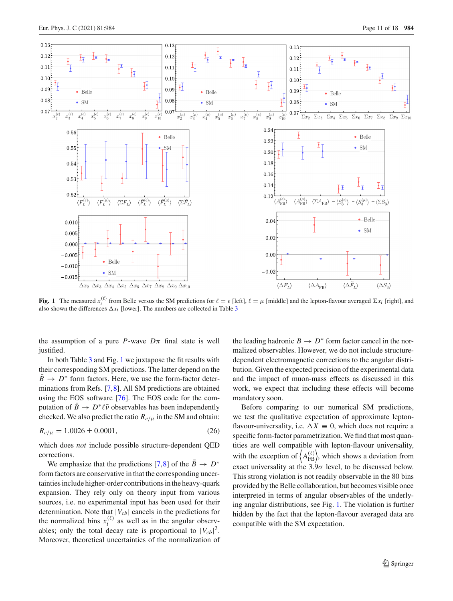

<span id="page-10-0"></span>**Fig. 1** The measured  $x_i^{(\ell)}$  from Belle versus the SM predictions for  $\ell = e$  [left],  $\ell = \mu$  [middle] and the lepton-flavour averaged  $\Sigma x_i$  [right], and also shown the differences  $\Delta x_i$  [lower]. The numbers are collected in Table [3](#page-9-0)

the assumption of a pure *P*-wave  $D\pi$  final state is well justified.

In both Table [3](#page-9-0) and Fig. [1](#page-10-0) we juxtapose the fit results with their corresponding SM predictions. The latter depend on the  $B \rightarrow D^*$  form factors. Here, we use the form-factor determinations from Refs. [\[7,](#page-16-7)[8\]](#page-16-8). All SM predictions are obtained using the EOS software [\[76](#page-16-47)]. The EOS code for the computation of  $B \to D^* \ell \bar{\nu}$  observables has been independently checked. We also predict the ratio  $R_{e/\mu}$  in the SM and obtain:

$$
R_{e/\mu} = 1.0026 \pm 0.0001,\tag{26}
$$

which does *not* include possible structure-dependent QED corrections.

We emphasize that the predictions [\[7](#page-16-7)[,8](#page-16-8)] of the  $\overline{B} \rightarrow D^*$ form factors are conservative in that the corresponding uncertainties include higher-order contributions in the heavy-quark expansion. They rely only on theory input from various sources, i.e. no experimental input has been used for their determination. Note that  $|V_{cb}|$  cancels in the predictions for the normalized bins  $x_i^{(\ell)}$  as well as in the angular observables; only the total decay rate is proportional to  $|V_{cb}|^2$ . Moreover, theoretical uncertainties of the normalization of the leading hadronic  $B \to D^*$  form factor cancel in the normalized observables. However, we do not include structuredependent electromagnetic corrections to the angular distribution. Given the expected precision of the experimental data and the impact of muon-mass effects as discussed in this work, we expect that including these effects will become mandatory soon.

Before comparing to our numerical SM predictions, we test the qualitative expectation of approximate leptonflavour-universality, i.e.  $\Delta X = 0$ , which does not require a specific form-factor parametrization. We find that most quantities are well compatible with lepton-flavour universality, with the exception of  $\left\langle A_{FB}^{(\ell)} \right\rangle$ , which shows a deviation from exact universality at the  $3.9\sigma$  level, to be discussed below. This strong violation is not readily observable in the 80 bins provided by the Belle collaboration, but becomes visible once interpreted in terms of angular observables of the underlying angular distributions, see Fig. [1.](#page-10-0) The violation is further hidden by the fact that the lepton-flavour averaged data are compatible with the SM expectation.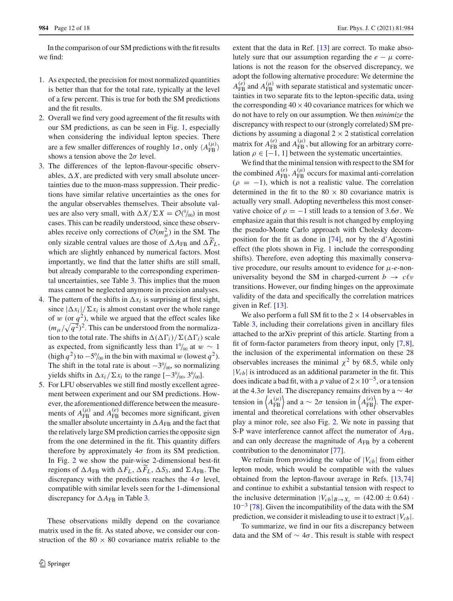In the comparison of our SM predictions with the fit results we find:

- 1. As expected, the precision for most normalized quantities is better than that for the total rate, typically at the level of a few percent. This is true for both the SM predictions and the fit results.
- 2. Overall we find very good agreement of the fit results with our SM predictions, as can be seen in Fig. [1,](#page-10-0) especially when considering the individual lepton species. There are a few smaller differences of roughly  $1\sigma$ , only  $\langle A_{\text{FB}}^{(\mu)} \rangle$ shows a tension above the  $2\sigma$  level.
- 3. The differences of the lepton-flavour-specific observables,  $\Delta X$ , are predicted with very small absolute uncertainties due to the muon-mass suppression. Their predictions have similar relative uncertainties as the ones for the angular observables themselves. Their absolute values are also very small, with  $\Delta X/\Sigma X = \mathcal{O}(\theta/00})$  in most cases. This can be readily understood, since these observables receive only corrections of  $\mathcal{O}(m_\mu^2)$  in the SM. The only sizable central values are those of  $\Delta A_{\text{FB}}$  and  $\Delta F_L$ , which are slightly enhanced by numerical factors. Most importantly, we find that the latter shifts are still small, but already comparable to the corresponding experimental uncertainties, see Table [3.](#page-9-0) This implies that the muon mass cannot be neglected anymore in precision analyses.
- 4. The pattern of the shifts in  $\Delta x_i$  is surprising at first sight, since  $|\Delta x_i|/\Sigma x_i$  is almost constant over the whole range of w (or  $q^2$ ), while we argued that the effect scales like  $(m_\mu/\sqrt{q^2})^2$ . This can be understood from the normalization to the total rate. The shifts in  $\Delta(\Delta\Gamma_i)/\Sigma(\Delta\Gamma_i)$  scale as expected, from significantly less than  $1\%$  at  $w \sim 1$ (high  $q^2$ ) to  $-5^0/_{00}$  in the bin with maximal w (lowest  $q^2$ ). The shift in the total rate is about  $-3^0/00$ , so normalizing yields shifts in  $\Delta x_i / \Sigma x_i$  to the range  $[-3\%_{00}, 3\%_{00}]$ .
- 5. For LFU observables we still find mostly excellent agreement between experiment and our SM predictions. However, the aforementioned difference between the measurements of  $A_{FB}^{(\mu)}$  and  $A_{FB}^{(e)}$  becomes more significant, given the smaller absolute uncertainty in  $\Delta A_{\text{FB}}$  and the fact that the relatively large SM prediction carries the opposite sign from the one determined in the fit. This quantity differs therefore by approximately  $4\sigma$  from its SM prediction. In Fig. [2](#page-12-0) we show the pair-wise 2-dimensional best-fit regions of  $\Delta A_{FB}$  with  $\Delta F_L$ ,  $\Delta F_L$ ,  $\Delta S_3$ , and  $\Sigma A_{FB}$ . The discrepancy with the predictions reaches the  $4\sigma$  level, compatible with similar levels seen for the 1-dimensional discrepancy for  $\Delta A_{\text{FB}}$  in Table [3.](#page-9-0)

These observations mildly depend on the covariance matrix used in the fit. As stated above, we consider our construction of the  $80 \times 80$  covariance matrix reliable to the extent that the data in Ref. [\[13](#page-16-3)] are correct. To make absolutely sure that our assumption regarding the  $e - \mu$  correlations is not the reason for the observed discrepancy, we adopt the following alternative procedure: We determine the  $A_{\text{FB}}^{(e)}$  and  $A_{\text{FB}}^{(\mu)}$  with separate statistical and systematic uncertainties in two separate fits to the lepton-specific data, using the corresponding  $40 \times 40$  covariance matrices for which we do not have to rely on our assumption. We then *minimize* the discrepancy with respect to our (strongly correlated) SM predictions by assuming a diagonal  $2 \times 2$  statistical correlation matrix for  $A_{\text{FB}}^{(e)}$  and  $A_{\text{FB}}^{(\mu)}$ , but allowing for an arbitrary correlation  $\rho \in [-1, 1]$  between the systematic uncertainties.

We find that the minimal tension with respect to the SM for the combined  $A_{\text{FB}}^{(e)}$ ,  $A_{\text{FB}}^{(\mu)}$  occurs for maximal anti-correlation  $(\rho = -1)$ , which is not a realistic value. The correlation determined in the fit to the  $80 \times 80$  covariance matrix is actually very small. Adopting nevertheless this most conservative choice of  $\rho = -1$  still leads to a tension of 3.6 $\sigma$ . We emphasize again that this result is not changed by employing the pseudo-Monte Carlo approach with Cholesky decomposition for the fit as done in [\[74](#page-16-45)], nor by the d'Agostini effect (the plots shown in Fig. [1](#page-10-0) include the corresponding shifts). Therefore, even adopting this maximally conservative procedure, our results amount to evidence for μ-*e*-nonuniversality beyond the SM in charged-current  $b \rightarrow c \ell v$ transitions. However, our finding hinges on the approximate validity of the data and specifically the correlation matrices given in Ref. [\[13](#page-16-3)].

We also perform a full SM fit to the  $2 \times 14$  observables in Table [3,](#page-9-0) including their correlations given in ancillary files attached to the arXiv preprint of this article. Starting from a fit of form-factor parameters from theory input, only [\[7](#page-16-7)[,8](#page-16-8)], the inclusion of the experimental information on these 28 observables increases the minimal  $\chi^2$  by 68.5, while only  $|V_{cb}|$  is introduced as an additional parameter in the fit. This does indicate a bad fit, with a *p* value of  $2 \times 10^{-5}$ , or a tension at the 4.3 $\sigma$  level. The discrepancy remains driven by a  $\sim 4\sigma$ tension in  $\langle A_{FB}^{(\mu)} \rangle$  and a  $\sim 2\sigma$  tension in  $\langle A_{FB}^{(e)} \rangle$ . The experimental and theoretical correlations with other observables play a minor role, see also Fig. [2.](#page-12-0) We note in passing that S-P wave interference cannot affect the numerator of  $A_{FB}$ , and can only decrease the magnitude of  $A_{FB}$  by a coherent contribution to the denominator [\[77](#page-17-0)].

We refrain from providing the value of  $|V_{cb}|$  from either lepton mode, which would be compatible with the values obtained from the lepton-flavour average in Refs. [\[13,](#page-16-3)[74\]](#page-16-45) and continue to exhibit a substantial tension with respect to the inclusive determination  $|V_{cb}|_{B\to X_c} = (42.00 \pm 0.64)$ .  $10^{-3}$  [\[78\]](#page-17-1). Given the incompatibility of the data with the SM prediction, we consider it misleading to use it to extract  $|V_{cb}|$ .

To summarize, we find in our fits a discrepancy between data and the SM of  $\sim 4\sigma$ . This result is stable with respect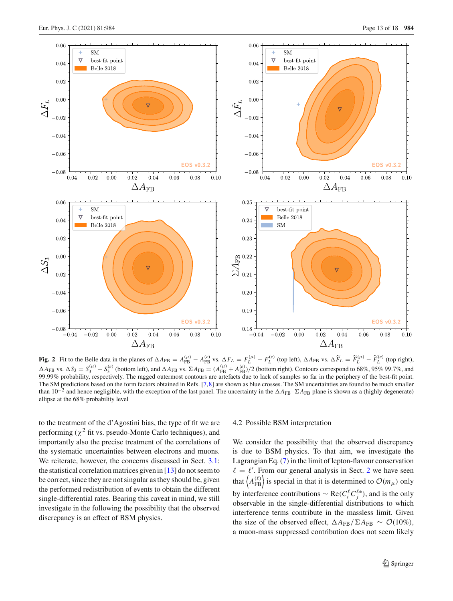

<span id="page-12-0"></span>Fig. 2 Fit to the Belle data in the planes of  $\Delta A_{FB} = A_{FB}^{(\mu)} - A_{FB}^{(e)}$  vs.  $\Delta F_L = F_L^{(\mu)} - F_L^{(e)}$  (top left),  $\Delta A_{FB}$  vs.  $\Delta \widetilde{F}_L = \widetilde{F}_L^{(\mu)} - \widetilde{F}_L^{(e)}$  (top right),  $\Delta A_{FB}$  vs.  $\Delta S_3 = S_3^{(\mu)} - S_3^{(e)}$  (bottom left), and  $\Delta A_{FB}$  vs.  $\Sigma A_{FB} = (A_{FB}^{(\mu)} + A_{FB}^{(e)})/2$  (bottom right). Contours correspond to 68%, 95% 99.7%, and 99.99% probability, respectively. The ragged outermost contours are artefacts due to lack of samples so far in the periphery of the best-fit point. The SM predictions based on the form factors obtained in Refs. [\[7,](#page-16-7)[8\]](#page-16-8) are shown as blue crosses. The SM uncertainties are found to be much smaller than 10−<sup>2</sup> and hence negligible, with the exception of the last panel. The uncertainty in the *A*FB–*A*FB plane is shown as a (highly degenerate) ellipse at the 68% probability level

to the treatment of the d'Agostini bias, the type of fit we are performing ( $\chi^2$  fit vs. pseudo-Monte Carlo techniques), and importantly also the precise treatment of the correlations of the systematic uncertainties between electrons and muons. We reiterate, however, the concerns discussed in Sect. [3.1:](#page-6-4) the statistical correlation matrices given in  $[13]$  $[13]$  do not seem to be correct, since they are not singular as they should be, given the performed redistribution of events to obtain the different single-differential rates. Bearing this caveat in mind, we still investigate in the following the possibility that the observed discrepancy is an effect of BSM physics.

## 4.2 Possible BSM interpretation

We consider the possibility that the observed discrepancy is due to BSM physics. To that aim, we investigate the Lagrangian Eq. [\(7\)](#page-2-5) in the limit of lepton-flavour conservation  $\ell = \ell'$ . From our general analysis in Sect. [2](#page-1-0) we have seen that  $\left\langle A_{FB}^{(\ell)} \right\rangle$  is special in that it is determined to  $\mathcal{O}(m_{\mu})$  only by interference contributions  $\sim \text{Re}(C_i^{\ell} C_j^{\ell*})$ , and is the only observable in the single-differential distributions to which interference terms contribute in the massless limit. Given the size of the observed effect,  $\Delta A_{FB}/\Sigma A_{FB} \sim \mathcal{O}(10\%)$ , a muon-mass suppressed contribution does not seem likely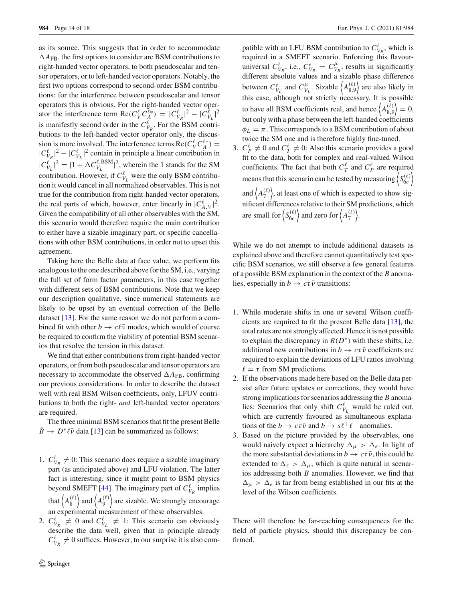as its source. This suggests that in order to accommodate  $\Delta A_{\text{FB}}$ , the first options to consider are BSM contributions to right-handed vector operators, to both pseudoscalar and tensor operators, or to left-handed vector operators. Notably, the first two options correspond to second-order BSM contributions: for the interference between pseudoscalar and tensor operators this is obvious. For the right-handed vector operator the interference term  $\text{Re}(C_V^{\ell} C_A^{\ell*}) = |C_{V_R}^{\ell}|^2 - |C_{V_L}^{\ell}|^2$ is manifestly second order in the  $C_{V_R}^{\ell}$ . For the BSM contributions to the left-handed vector operator only, the discussion is more involved. The interference terms  $\text{Re}(C_V^{\ell} C_A^{\ell*}) =$  $|C_{V_R}^{\ell}|^2 - |C_{V_L}^{\ell}|^2$  contain in principle a linear contribution in  $|C_{V_L}^{\ell}|^2 = |1 + \Delta C_{V_L}^{\ell, \text{BSM}}|^2$ , wherein the 1 stands for the SM contribution. However, if  $C_{V_L}^{\ell}$  were the only BSM contribution it would cancel in all normalized observables. This is not true for the contribution from right-handed vector operators, the real parts of which, however, enter linearly in  $|C_{A,V}^{\ell}|^2$ . Given the compatibility of all other observables with the SM, this scenario would therefore require the main contribution to either have a sizable imaginary part, or specific cancellations with other BSM contributions, in order not to upset this agreement.

Taking here the Belle data at face value, we perform fits analogous to the one described above for the SM, i.e., varying the full set of form factor parameters, in this case together with different sets of BSM contributions. Note that we keep our description qualitative, since numerical statements are likely to be upset by an eventual correction of the Belle dataset [\[13](#page-16-3)]. For the same reason we do not perform a combined fit with other  $b \to c\ell\bar{\nu}$  modes, which would of course be required to confirm the viability of potential BSM scenarios that resolve the tension in this dataset.

We find that either contributions from right-handed vector operators, or from both pseudoscalar and tensor operators are necessary to accommodate the observed  $\Delta A_{\text{FB}}$ , confirming our previous considerations. In order to describe the dataset well with real BSM Wilson coefficients, only, LFUV contributions to both the right- *and* left-handed vector operators are required.

The three minimal BSM scenarios that fit the present Belle  $B \to D^* \ell \bar{\nu}$  data [\[13\]](#page-16-3) can be summarized as follows:

- 1.  $C_{V_R}^{\ell} \neq 0$ : This scenario does require a sizable imaginary part (as anticipated above) and LFU violation. The latter fact is interesting, since it might point to BSM physics beyond SMEFT [\[44\]](#page-16-25). The imaginary part of  $C_{V_R}^{\ell}$  implies that  $A_8^{(\ell)}$  $\binom{\ell}{8}$  and  $\left\langle A_9^{(\ell)} \right\rangle$  $\binom{\ell}{9}$  are sizable. We strongly encourage an experimental measurement of these observables.
- 2.  $C_{V_R}^{\ell} \neq 0$  and  $C_{V_L}^{\ell} \neq 1$ : This scenario can obviously describe the data well, given that in principle already  $C_{V_R}^{\ell} \neq 0$  suffices. However, to our surprise it is also com-

patible with an LFU BSM contribution to  $C_{V_R}^{\ell}$ , which is required in a SMEFT scenario. Enforcing this flavouruniversal  $C_{V_R}^{\ell}$ , i.e.,  $C_{V_R}^e = C_{V_R}^{\mu}$ , results in significantly different absolute values and a sizable phase difference between  $C_{V_L}^e$  and  $C_{V_L}^{\mu}$ . Sizable  $\left\langle A_{8,9}^{(\ell)} \right\rangle$  $\binom{\ell}{8,9}$  are also likely in this case, although not strictly necessary. It is possible to have all BSM coefficients real, and hence  $\langle A_8^{(\ell)} \rangle$  $\binom{\ell}{8,9} = 0,$ but only with a phase between the left-handed coefficients  $\phi_L = \pi$ . This corresponds to a BSM contribution of about twice the SM one and is therefore highly fine-tuned.

3.  $C_P^{\ell} \neq 0$  and  $C_T^{\ell} \neq 0$ : Also this scenario provides a good fit to the data, both for complex and real-valued Wilson coefficients. The fact that both  $C_T^{\ell}$  and  $C_P^{\ell}$  are required means that this scenario can be tested by measuring  $S_{6c}^{(\ell)}$ 6*c* and  $A_7^{(\ell)}$  $\binom{\ell}{7}$ , at least one of which is expected to show significant differences relative to their SM predictions, which are small for  $S_{6c}^{(\ell)}$  $\begin{pmatrix} \ell \\ 6c \end{pmatrix}$  and zero for  $\left\langle A_7^{(\ell)} \right\rangle$  $\begin{pmatrix} \ell \\ 7 \end{pmatrix}$ .

While we do not attempt to include additional datasets as explained above and therefore cannot quantitatively test specific BSM scenarios, we still observe a few general features of a possible BSM explanation in the context of the *B* anomalies, especially in  $b \to c\tau\bar{\nu}$  transitions:

- 1. While moderate shifts in one or several Wilson coefficients are required to fit the present Belle data [\[13](#page-16-3)], the total rates are not strongly affected. Hence it is not possible to explain the discrepancy in  $R(D^*)$  with these shifts, i.e. additional new contributions in  $b \to c\tau\bar{\nu}$  coefficients are required to explain the deviations of LFU ratios involving  $\ell = \tau$  from SM predictions.
- 2. If the observations made here based on the Belle data persist after future updates or corrections, they would have strong implications for scenarios addressing the *B* anomalies: Scenarios that only shift  $C_{V_L}^{\ell}$  would be ruled out, which are currently favoured as simultaneous explanations of the  $b \to c\tau\bar{\nu}$  and  $b \to s\ell^+\ell^-$  anomalies.
- 3. Based on the picture provided by the observables, one would naively expect a hierarchy  $\Delta_{\mu} > \Delta_{e}$ . In light of the more substantial deviations in  $b \to c\tau \bar{\nu}$ , this could be extended to  $\Delta_{\tau} > \Delta_{\mu}$ , which is quite natural in scenarios addressing both *B* anomalies. However, we find that  $\Delta_{\mu} > \Delta_{e}$  is far from being established in our fits at the level of the Wilson coefficients.

There will therefore be far-reaching consequences for the field of particle physics, should this discrepancy be confirmed.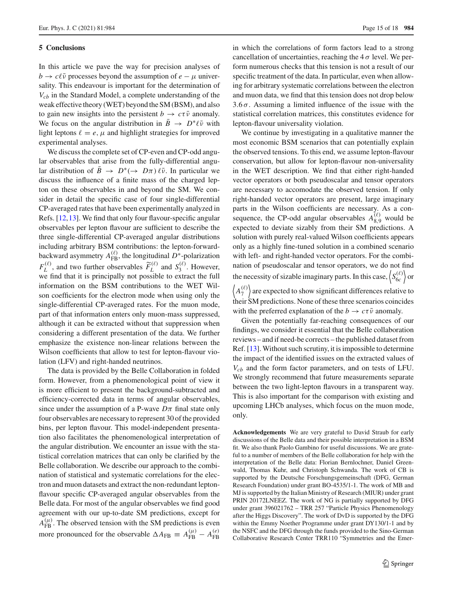## <span id="page-14-0"></span>**5 Conclusions**

In this article we pave the way for precision analyses of  $b \to c \ell \bar{\nu}$  processes beyond the assumption of *e* −  $\mu$  universality. This endeavour is important for the determination of *Vcb* in the Standard Model, a complete understanding of the weak effective theory (WET) beyond the SM (BSM), and also to gain new insights into the persistent  $b \to c\tau \bar{\nu}$  anomaly. We focus on the angular distribution in  $B \to D^* \ell \bar{\nu}$  with light leptons  $\ell = e$ ,  $\mu$  and highlight strategies for improved experimental analyses.

We discuss the complete set of CP-even and CP-odd angular observables that arise from the fully-differential angular distribution of  $B \to D^*(\to D\pi)\ell\bar{\nu}$ . In particular we discuss the influence of a finite mass of the charged lepton on these observables in and beyond the SM. We consider in detail the specific case of four single-differential CP-averaged rates that have been experimentally analyzed in Refs. [\[12](#page-16-22)[,13](#page-16-3)]. We find that only four flavour-specific angular observables per lepton flavour are sufficient to describe the three single-differential CP-averaged angular distributions including arbitrary BSM contributions: the lepton-forwardbackward asymmetry  $A_{\text{FB}}^{(\ell)}$ , the longitudinal  $D^*$ -polarization  $F_L^{(\ell)}$ , and two further observables  $\widetilde{F}_L$  $L^{(\ell)}$  and  $S_3^{(\ell)}$ . However, we find that it is principally not possible to extract the full information on the BSM contributions to the WET Wilson coefficients for the electron mode when using only the single-differential CP-averaged rates. For the muon mode, part of that information enters only muon-mass suppressed, although it can be extracted without that suppression when considering a different presentation of the data. We further emphasize the existence non-linear relations between the Wilson coefficients that allow to test for lepton-flavour violation (LFV) and right-handed neutrinos.

The data is provided by the Belle Collaboration in folded form. However, from a phenomenological point of view it is more efficient to present the background-subtracted and efficiency-corrected data in terms of angular observables, since under the assumption of a P-wave  $D\pi$  final state only four observables are necessary to represent 30 of the provided bins, per lepton flavour. This model-independent presentation also facilitates the phenomenological interpretation of the angular distribution. We encounter an issue with the statistical correlation matrices that can only be clarified by the Belle collaboration. We describe our approach to the combination of statistical and systematic correlations for the electron and muon datasets and extract the non-redundant leptonflavour specific CP-averaged angular observables from the Belle data. For most of the angular observables we find good agreement with our up-to-date SM predictions, except for  $A_{FB}^{(\mu)}$ . The observed tension with the SM predictions is even more pronounced for the observable  $\Delta A_{\text{FB}} \equiv A_{\text{FB}}^{(\mu)} - A_{\text{FB}}^{(e)}$ 

in which the correlations of form factors lead to a strong cancellation of uncertainties, reaching the  $4\sigma$  level. We perform numerous checks that this tension is not a result of our specific treatment of the data. In particular, even when allowing for arbitrary systematic correlations between the electron and muon data, we find that this tension does not drop below 3.6 $\sigma$ . Assuming a limited influence of the issue with the statistical correlation matrices, this constitutes evidence for lepton-flavour universality violation.

We continue by investigating in a qualitative manner the most economic BSM scenarios that can potentially explain the observed tensions. To this end, we assume lepton-flavour conservation, but allow for lepton-flavour non-universality in the WET description. We find that either right-handed vector operators or both pseudoscalar and tensor operators are necessary to accomodate the observed tension. If only right-handed vector operators are present, large imaginary parts in the Wilson coefficients are necessary. As a consequence, the CP-odd angular observables  $A_{8,9}^{(\ell)}$  would be expected to deviate sizably from their SM predictions. A solution with purely real-valued Wilson coefficients appears only as a highly fine-tuned solution in a combined scenario with left- and right-handed vector operators. For the combination of pseudoscalar and tensor operators, we do not find the necessity of sizable imaginary parts. In this case,  $\langle S_{6c}^{(\ell)} \rangle$ <sup>*(ℓ)*</sup> or  $\langle A_7^{(\ell)} \rangle$  $\binom{\ell}{7}$  are expected to show significant differences relative to their SM predictions. None of these three scenarios coincides

Given the potentially far-reaching consequences of our findings, we consider it essential that the Belle collaboration reviews – and if need-be corrects – the published dataset from Ref. [\[13\]](#page-16-3). Without such scrutiny, it is impossible to determine the impact of the identified issues on the extracted values of *Vcb* and the form factor parameters, and on tests of LFU. We strongly recommend that future measurements separate between the two light-lepton flavours in a transparent way. This is also important for the comparison with existing and upcoming LHCb analyses, which focus on the muon mode, only.

with the preferred explanation of the  $b \to c\tau\bar{\nu}$  anomaly.

**Acknowledgements** We are very grateful to David Straub for early discussions of the Belle data and their possible interpretation in a BSM fit. We also thank Paolo Gambino for useful discussions. We are grateful to a number of members of the Belle collaboration for help with the interpretation of the Belle data: Florian Bernlochner, Daniel Greenwald, Thomas Kuhr, and Christoph Schwanda. The work of CB is supported by the Deutsche Forschungsgemeinschaft (DFG, German Research Foundation) under grant BO-4535/1-1. The work of MB and MJ is supported by the Italian Ministry of Research (MIUR) under grant PRIN 20172LNEEZ. The work of NG is partially supported by DFG under grant 396021762 – TRR 257 "Particle Physics Phenomenology after the Higgs Discovery". The work of DvD is supported by the DFG within the Emmy Noether Programme under grant DY130/1-1 and by the NSFC and the DFG through the funds provided to the Sino-German Collaborative Research Center TRR110 "Symmetries and the Emer-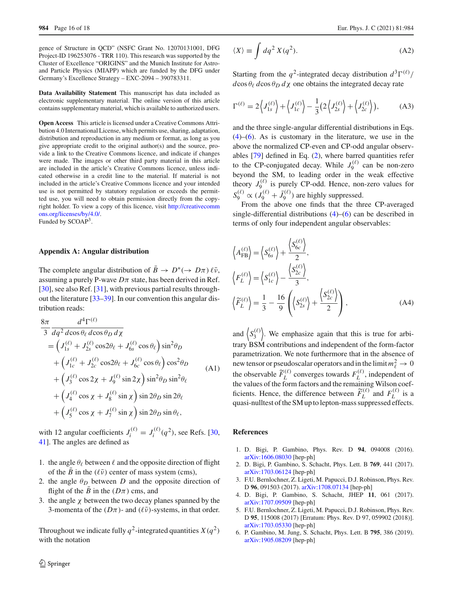gence of Structure in QCD" (NSFC Grant No. 12070131001, DFG Project-ID 196253076 - TRR 110). This research was supported by the Cluster of Excellence "ORIGINS" and the Munich Institute for Astroand Particle Physics (MIAPP) which are funded by the DFG under Germany's Excellence Strategy – EXC-2094 – 390783311.

**Data Availability Statement** This manuscript has data included as electronic supplementary material. The online version of this article contains supplementary material, which is available to authorized users.

**Open Access** This article is licensed under a Creative Commons Attribution 4.0 International License, which permits use, sharing, adaptation, distribution and reproduction in any medium or format, as long as you give appropriate credit to the original author(s) and the source, provide a link to the Creative Commons licence, and indicate if changes were made. The images or other third party material in this article are included in the article's Creative Commons licence, unless indicated otherwise in a credit line to the material. If material is not included in the article's Creative Commons licence and your intended use is not permitted by statutory regulation or exceeds the permitted use, you will need to obtain permission directly from the copyright holder. To view a copy of this licence, visit [http://creativecomm](http://creativecommons.org/licenses/by/4.0/) [ons.org/licenses/by/4.0/.](http://creativecommons.org/licenses/by/4.0/) Funded by SCOAP<sup>3</sup>.

### **Appendix A: Angular distribution**

The complete angular distribution of  $B \to D^*(\to D\pi)\ell\bar{\nu}$ , assuming a purely P-wave  $D\pi$  state, has been derived in Ref. [\[30](#page-16-16)], see also Ref. [\[31](#page-16-17)], with previous partial results throughout the literature [\[33](#page-16-19)[–39](#page-16-48)]. In our convention this angular distribution reads:

<span id="page-15-1"></span>
$$
\frac{8\pi}{3} \frac{d^4 \Gamma^{(\ell)}}{dq^2 d \cos \theta_{\ell} d \cos \theta_{D} d\chi} \n= \left( J_{1s}^{(\ell)} + J_{2s}^{(\ell)} \cos 2\theta_{\ell} + J_{6s}^{(\ell)} \cos \theta_{\ell} \right) \sin^2 \theta_{D} \n+ \left( J_{1c}^{(\ell)} + J_{2c}^{(\ell)} \cos 2\theta_{\ell} + J_{6c}^{(\ell)} \cos \theta_{\ell} \right) \cos^2 \theta_{D} \n+ \left( J_{3}^{(\ell)} \cos 2\chi + J_{9}^{(\ell)} \sin 2\chi \right) \sin^2 \theta_{D} \sin^2 \theta_{\ell} \n+ \left( J_{4}^{(\ell)} \cos \chi + J_{8}^{(\ell)} \sin \chi \right) \sin 2\theta_{D} \sin 2\theta_{\ell} \n+ \left( J_{5}^{(\ell)} \cos \chi + J_{7}^{(\ell)} \sin \chi \right) \sin 2\theta_{D} \sin \theta_{\ell},
$$
\n(A1)

with 12 angular coefficients  $J_i^{(\ell)} = J_i^{(\ell)}(q^2)$ , see Refs. [\[30,](#page-16-16) [41\]](#page-16-21). The angles are defined as

- 1. the angle  $\theta_{\ell}$  between  $\ell$  and the opposite direction of flight of the *B* in the  $(\ell \bar{\nu})$  center of mass system (cms),
- 2. the angle  $\theta_D$  between *D* and the opposite direction of flight of the  $\bar{B}$  in the ( $D\pi$ ) cms, and
- 3. the angle  $\chi$  between the two decay planes spanned by the 3-momenta of the  $(D\pi)$ - and  $(\ell\bar{\nu})$ -systems, in that order.

Throughout we indicate fully  $q^2$ -integrated quantities  $X(q^2)$ with the notation

<span id="page-15-2"></span>
$$
\langle X \rangle \equiv \int dq^2 X(q^2). \tag{A2}
$$

Starting from the  $q^2$ -integrated decay distribution  $d^3\Gamma^{(\ell)}/$  $d\cos\theta_\ell \, d\cos\theta_D \, d\chi$  one obtains the integrated decay rate

$$
\Gamma^{(\ell)} = 2\left\langle J_{1s}^{(\ell)} \right\rangle + \left\langle J_{1c}^{(\ell)} \right\rangle - \frac{1}{3} \left( 2\left\langle J_{2s}^{(\ell)} \right\rangle + \left\langle J_{2c}^{(\ell)} \right\rangle \right),\tag{A3}
$$

and the three single-angular differential distributions in Eqs. [\(4\)](#page-2-6)–[\(6\)](#page-2-4). As is customary in the literature, we use in the above the normalized CP-even and CP-odd angular observables [\[79](#page-17-2)] defined in Eq. [\(2\)](#page-2-1), where barred quantities refer to the CP-conjugated decay. While  $J_9^{(\ell)}$  can be non-zero beyond the SM, to leading order in the weak effective theory  $J_9^{(\ell)}$  is purely CP-odd. Hence, non-zero values for  $S_9^{(\ell)} \propto (J_9^{(\ell)} + \bar{J}_9^{(\ell)})$  are highly suppressed.

From the above one finds that the three CP-averaged single-differential distributions  $(4)$ – $(6)$  can be described in terms of only four independent angular observables:

$$
\left\langle A_{\text{FB}}^{(\ell)} \right\rangle = \left\langle S_{6s}^{(\ell)} \right\rangle + \frac{\left\langle S_{6c}^{(\ell)} \right\rangle}{2},
$$
\n
$$
\left\langle F_L^{(\ell)} \right\rangle = \left\langle S_{1c}^{(\ell)} \right\rangle - \frac{\left\langle S_{2c}^{(\ell)} \right\rangle}{3},
$$
\n
$$
\left\langle \widetilde{F}_L^{(\ell)} \right\rangle = \frac{1}{3} - \frac{16}{9} \left( \left\langle S_{2s}^{(\ell)} \right\rangle + \frac{\left\langle S_{2c}^{(\ell)} \right\rangle}{2} \right),
$$
\n(A4)

and  $S_3^{(\ell)}$  $\binom{(\ell)}{3}$ . We emphasize again that this is true for arbitrary BSM contributions and independent of the form-factor parametrization. We note furthermore that in the absence of new tensor or pseudoscalar operators and in the limit  $m_{\ell}^2 \to 0$ the observable  $F_{\parallel}$  $L^{(\ell)}$  converges towards  $F_L^{(\ell)}$ , independent of the values of the form factors and the remaining Wilson coefficients. Hence, the difference between *F*  $L^{(\ell)}$  and  $F_L^{(\ell)}$  is a quasi-nulltest of the SM up to lepton-mass suppressed effects.

## **References**

- <span id="page-15-0"></span>1. D. Bigi, P. Gambino, Phys. Rev. D **94**, 094008 (2016). [arXiv:1606.08030](http://arxiv.org/abs/1606.08030) [hep-ph]
- 2. D. Bigi, P. Gambino, S. Schacht, Phys. Lett. B **769**, 441 (2017). [arXiv:1703.06124](http://arxiv.org/abs/1703.06124) [hep-ph]
- 3. F.U. Bernlochner, Z. Ligeti, M. Papucci, D.J. Robinson, Phys. Rev. D **96**, 091503 (2017). [arXiv:1708.07134](http://arxiv.org/abs/1708.07134) [hep-ph]
- <span id="page-15-4"></span>4. D. Bigi, P. Gambino, S. Schacht, JHEP **11**, 061 (2017). [arXiv:1707.09509](http://arxiv.org/abs/1707.09509) [hep-ph]
- <span id="page-15-3"></span>5. F.U. Bernlochner, Z. Ligeti, M. Papucci, D.J. Robinson, Phys. Rev. D **95**, 115008 (2017) [Erratum: Phys. Rev. D 97, 059902 (2018)]. [arXiv:1703.05330](http://arxiv.org/abs/1703.05330) [hep-ph]
- 6. P. Gambino, M. Jung, S. Schacht, Phys. Lett. B **795**, 386 (2019). [arXiv:1905.08209](http://arxiv.org/abs/1905.08209) [hep-ph]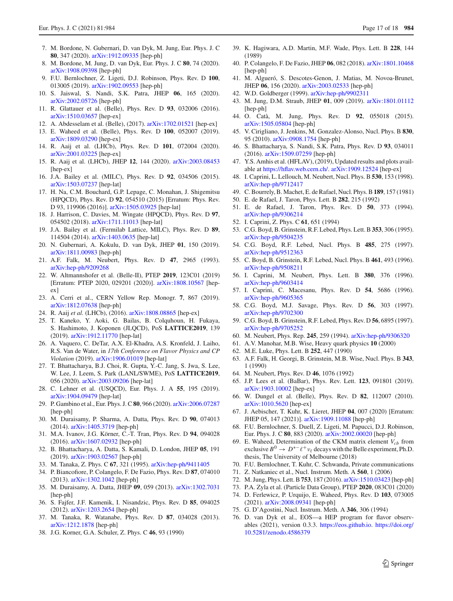- <span id="page-16-7"></span>7. M. Bordone, N. Gubernari, D. van Dyk, M. Jung, Eur. Phys. J. C **80**, 347 (2020). [arXiv:1912.09335](http://arxiv.org/abs/1912.09335) [hep-ph]
- <span id="page-16-8"></span>8. M. Bordone, M. Jung, D. van Dyk, Eur. Phys. J. C **80**, 74 (2020). [arXiv:1908.09398](http://arxiv.org/abs/1908.09398) [hep-ph]
- 9. F.U. Bernlochner, Z. Ligeti, D.J. Robinson, Phys. Rev. D **100**, 013005 (2019). [arXiv:1902.09553](http://arxiv.org/abs/1902.09553) [hep-ph]
- <span id="page-16-0"></span>10. S. Jaiswal, S. Nandi, S.K. Patra, JHEP **06**, 165 (2020). [arXiv:2002.05726](http://arxiv.org/abs/2002.05726) [hep-ph]
- <span id="page-16-1"></span>11. R. Glattauer et al. (Belle), Phys. Rev. D **93**, 032006 (2016). [arXiv:1510.03657](http://arxiv.org/abs/1510.03657) [hep-ex]
- <span id="page-16-22"></span>12. A. Abdesselam et al. (Belle), (2017). [arXiv:1702.01521](http://arxiv.org/abs/1702.01521) [hep-ex]
- <span id="page-16-3"></span>13. E. Waheed et al. (Belle), Phys. Rev. D **100**, 052007 (2019). [arXiv:1809.03290](http://arxiv.org/abs/1809.03290) [hep-ex]
- 14. R. Aaij et al. (LHCb), Phys. Rev. D **101**, 072004 (2020). [arXiv:2001.03225](http://arxiv.org/abs/2001.03225) [hep-ex]
- <span id="page-16-2"></span>15. R. Aaij et al. (LHCb), JHEP **12**, 144 (2020). [arXiv:2003.08453](http://arxiv.org/abs/2003.08453) [hep-ex]
- <span id="page-16-4"></span>16. J.A. Bailey et al. (MILC), Phys. Rev. D **92**, 034506 (2015). [arXiv:1503.07237](http://arxiv.org/abs/1503.07237) [hep-lat]
- 17. H. Na, C.M. Bouchard, G.P. Lepage, C. Monahan, J. Shigemitsu (HPQCD), Phys. Rev. D **92**, 054510 (2015) [Erratum: Phys. Rev. D 93, 119906 (2016)]. [arXiv:1505.03925](http://arxiv.org/abs/1505.03925) [hep-lat]
- 18. J. Harrison, C. Davies, M. Wingate (HPQCD), Phys. Rev. D **97**, 054502 (2018). [arXiv:1711.11013](http://arxiv.org/abs/1711.11013) [hep-lat]
- <span id="page-16-5"></span>19. J.A. Bailey et al. (Fermilab Lattice, MILC), Phys. Rev. D **89**, 114504 (2014). [arXiv:1403.0635](http://arxiv.org/abs/1403.0635) [hep-lat]
- <span id="page-16-6"></span>20. N. Gubernari, A. Kokulu, D. van Dyk, JHEP **01**, 150 (2019). [arXiv:1811.00983](http://arxiv.org/abs/1811.00983) [hep-ph]
- <span id="page-16-9"></span>21. A.F. Falk, M. Neubert, Phys. Rev. D **47**, 2965 (1993). [arXiv:hep-ph/9209268](http://arxiv.org/abs/hep-ph/9209268)
- <span id="page-16-10"></span>22. W. Altmannshofer et al. (Belle-II), PTEP **2019**, 123C01 (2019) [Erratum: PTEP 2020, 029201 (2020)]. [arXiv:1808.10567](http://arxiv.org/abs/1808.10567) [hepex]
- 23. A. Cerri et al., CERN Yellow Rep. Monogr. **7**, 867 (2019). [arXiv:1812.07638](http://arxiv.org/abs/1812.07638) [hep-ph]
- <span id="page-16-11"></span>24. R. Aaij *et al.* (LHCb), (2016). [arXiv:1808.08865](http://arxiv.org/abs/1808.08865) [hep-ex]
- <span id="page-16-12"></span>25. T. Kaneko, Y. Aoki, G. Bailas, B. Colquhoun, H. Fukaya, S. Hashimoto, J. Koponen (JLQCD), PoS **LATTICE2019**, 139 (2019). [arXiv:1912.11770](http://arxiv.org/abs/1912.11770) [hep-lat]
- 26. A. Vaquero, C. DeTar, A.X. El-Khadra, A.S. Kronfeld, J. Laiho, R.S. Van de Water, in *17th Conference on Flavor Physics and CP Violation* (2019). [arXiv:1906.01019](http://arxiv.org/abs/1906.01019) [hep-lat]
- <span id="page-16-13"></span>27. T. Bhattacharya, B.J. Choi, R. Gupta, Y.-C. Jang, S. Jwa, S. Lee, W. Lee, J. Leem, S. Park (LANL/SWME), PoS **LATTICE2019**, 056 (2020). [arXiv:2003.09206](http://arxiv.org/abs/2003.09206) [hep-lat]
- <span id="page-16-14"></span>28. C. Lehner et al. (USQCD), Eur. Phys. J. A **55**, 195 (2019). [arXiv:1904.09479](http://arxiv.org/abs/1904.09479) [hep-lat]
- <span id="page-16-15"></span>29. P. Gambino et al., Eur. Phys. J. C **80**, 966 (2020). [arXiv:2006.07287](http://arxiv.org/abs/2006.07287) [hep-ph]
- <span id="page-16-16"></span>30. M. Duraisamy, P. Sharma, A. Datta, Phys. Rev. D **90**, 074013 (2014). [arXiv:1405.3719](http://arxiv.org/abs/1405.3719) [hep-ph]
- <span id="page-16-17"></span>31. M.A. Ivanov, J.G. Körner, C.-T. Tran, Phys. Rev. D **94**, 094028 (2016). [arXiv:1607.02932](http://arxiv.org/abs/1607.02932) [hep-ph]
- <span id="page-16-18"></span>32. B. Bhattacharya, A. Datta, S. Kamali, D. London, JHEP **05**, 191 (2019). [arXiv:1903.02567](http://arxiv.org/abs/1903.02567) [hep-ph]
- <span id="page-16-19"></span>33. M. Tanaka, Z. Phys. C **67**, 321 (1995). [arXiv:hep-ph/9411405](http://arxiv.org/abs/hep-ph/9411405)
- 34. P. Biancofiore, P. Colangelo, F. De Fazio, Phys. Rev. D **87**, 074010 (2013). [arXiv:1302.1042](http://arxiv.org/abs/1302.1042) [hep-ph]
- 35. M. Duraisamy, A. Datta, JHEP **09**, 059 (2013). [arXiv:1302.7031](http://arxiv.org/abs/1302.7031) [hep-ph]
- 36. S. Fajfer, J.F. Kamenik, I. Nisandzic, Phys. Rev. D **85**, 094025 (2012). [arXiv:1203.2654](http://arxiv.org/abs/1203.2654) [hep-ph]
- 37. M. Tanaka, R. Watanabe, Phys. Rev. D **87**, 034028 (2013). [arXiv:1212.1878](http://arxiv.org/abs/1212.1878) [hep-ph]
- 38. J.G. Korner, G.A. Schuler, Z. Phys. C **46**, 93 (1990)
- <span id="page-16-48"></span>39. K. Hagiwara, A.D. Martin, M.F. Wade, Phys. Lett. B **228**, 144 (1989)
- <span id="page-16-20"></span>40. P. Colangelo, F. De Fazio, JHEP **06**, 082 (2018). [arXiv:1801.10468](http://arxiv.org/abs/1801.10468) [hep-ph]
- <span id="page-16-21"></span>41. M. Algueró, S. Descotes-Genon, J. Matias, M. Novoa-Brunet, JHEP **06**, 156 (2020). [arXiv:2003.02533](http://arxiv.org/abs/2003.02533) [hep-ph]
- <span id="page-16-23"></span>42. W.D. Goldberger (1999). [arXiv:hep-ph/9902311](http://arxiv.org/abs/hep-ph/9902311)
- <span id="page-16-24"></span>43. M. Jung, D.M. Straub, JHEP **01**, 009 (2019). [arXiv:1801.01112](http://arxiv.org/abs/1801.01112) [hep-ph]
- <span id="page-16-25"></span>44. O. Catà, M. Jung, Phys. Rev. D **92**, 055018 (2015). [arXiv:1505.05804](http://arxiv.org/abs/1505.05804) [hep-ph]
- <span id="page-16-26"></span>45. V. Cirigliano, J. Jenkins, M. Gonzalez-Alonso, Nucl. Phys. B **830**, 95 (2010). [arXiv:0908.1754](http://arxiv.org/abs/0908.1754) [hep-ph]
- <span id="page-16-27"></span>46. S. Bhattacharya, S. Nandi, S.K. Patra, Phys. Rev. D **93**, 034011 (2016). [arXiv:1509.07259](http://arxiv.org/abs/1509.07259) [hep-ph]
- <span id="page-16-28"></span>47. Y.S. Amhis et al. (HFLAV), (2019), Updated results and plots available at [https://hflav.web.cern.ch/.](https://hflav.web.cern.ch/) [arXiv:1909.12524](http://arxiv.org/abs/1909.12524) [hep-ex]
- <span id="page-16-29"></span>48. I. Caprini, L. Lellouch, M. Neubert, Nucl. Phys. B **530**, 153 (1998). [arXiv:hep-ph/9712417](http://arxiv.org/abs/hep-ph/9712417)
- <span id="page-16-30"></span>49. C. Bourrely, B. Machet, E. de Rafael, Nucl. Phys. B**189**, 157 (1981)
- 50. E. de Rafael, J. Taron, Phys. Lett. B **282**, 215 (1992)
- 51. E. de Rafael, J. Taron, Phys. Rev. D **50**, 373 (1994). [arXiv:hep-ph/9306214](http://arxiv.org/abs/hep-ph/9306214)
- 52. I. Caprini, Z. Phys. C **61**, 651 (1994)
- 53. C.G. Boyd, B. Grinstein, R.F. Lebed, Phys. Lett. B **353**, 306 (1995). [arXiv:hep-ph/9504235](http://arxiv.org/abs/hep-ph/9504235)
- 54. C.G. Boyd, R.F. Lebed, Nucl. Phys. B **485**, 275 (1997). [arXiv:hep-ph/9512363](http://arxiv.org/abs/hep-ph/9512363)
- 55. C. Boyd, B. Grinstein, R.F. Lebed, Nucl. Phys. B **461**, 493 (1996). [arXiv:hep-ph/9508211](http://arxiv.org/abs/hep-ph/9508211)
- 56. I. Caprini, M. Neubert, Phys. Lett. B **380**, 376 (1996). [arXiv:hep-ph/9603414](http://arxiv.org/abs/hep-ph/9603414)
- 57. I. Caprini, C. Macesanu, Phys. Rev. D **54**, 5686 (1996). [arXiv:hep-ph/9605365](http://arxiv.org/abs/hep-ph/9605365)
- 58. C.G. Boyd, M.J. Savage, Phys. Rev. D **56**, 303 (1997). [arXiv:hep-ph/9702300](http://arxiv.org/abs/hep-ph/9702300)
- <span id="page-16-31"></span>59. C.G. Boyd, B. Grinstein, R.F. Lebed, Phys. Rev. D **56**, 6895 (1997). [arXiv:hep-ph/9705252](http://arxiv.org/abs/hep-ph/9705252)
- <span id="page-16-32"></span>60. M. Neubert, Phys. Rep. **245**, 259 (1994). [arXiv:hep-ph/9306320](http://arxiv.org/abs/hep-ph/9306320)
- <span id="page-16-33"></span>61. A.V. Manohar, M.B. Wise, Heavy quark physics **10** (2000)
- <span id="page-16-34"></span>62. M.E. Luke, Phys. Lett. B **252**, 447 (1990)
- 63. A.F. Falk, H. Georgi, B. Grinstein, M.B. Wise, Nucl. Phys. B **343**, 1 (1990)
- <span id="page-16-35"></span>64. M. Neubert, Phys. Rev. D **46**, 1076 (1992)
- <span id="page-16-36"></span>65. J.P. Lees et al. (BaBar), Phys. Rev. Lett. **123**, 091801 (2019). [arXiv:1903.10002](http://arxiv.org/abs/1903.10002) [hep-ex]
- <span id="page-16-37"></span>66. W. Dungel et al. (Belle), Phys. Rev. D **82**, 112007 (2010). [arXiv:1010.5620](http://arxiv.org/abs/1010.5620) [hep-ex]
- <span id="page-16-38"></span>67. J. Aebischer, T. Kuhr, K. Lieret, JHEP **04**, 007 (2020) [Erratum: JHEP 05, 147 (2021)]. [arXiv:1909.11088](http://arxiv.org/abs/1909.11088) [hep-ph]
- <span id="page-16-39"></span>68. F.U. Bernlochner, S. Duell, Z. Ligeti, M. Papucci, D.J. Robinson, Eur. Phys. J. C **80**, 883 (2020). [arXiv:2002.00020](http://arxiv.org/abs/2002.00020) [hep-ph]
- <span id="page-16-40"></span>69. E. Waheed, Determination of the CKM matrix element  $V_{cb}$  from exclusive  $B^0 \to D^{*-}\ell^+\nu_\ell$  decays with the Belle experiment, Ph.D. thesis, The University of Melbourne (2018)
- <span id="page-16-41"></span>70. F.U. Bernlochner, T. Kuhr, C. Schwanda, Private communications
- <span id="page-16-42"></span>71. Z. Natkaniec et al., Nucl. Instrum. Meth. A **560**, 1 (2006)
- <span id="page-16-43"></span>72. M. Jung, Phys. Lett. B**753**, 187 (2016). [arXiv:1510.03423](http://arxiv.org/abs/1510.03423) [hep-ph]
- <span id="page-16-44"></span>73. P.A. Zyla et al. (Particle Data Group), PTEP **2020**, 083C01 (2020)
- <span id="page-16-45"></span>74. D. Ferlewicz, P. Urquijo, E. Waheed, Phys. Rev. D **103**, 073005 (2021). [arXiv:2008.09341](http://arxiv.org/abs/2008.09341) [hep-ph]
- <span id="page-16-46"></span>75. G. D'Agostini, Nucl. Instrum. Meth. A **346**, 306 (1994)
- <span id="page-16-47"></span>76. D. van Dyk et al., EOS—a HEP program for flavor observables (2021), version 0.3.3. [https://eos.github.io.](https://eos.github.io) [https://doi.org/](https://doi.org/10.5281/zenodo.4586379) [10.5281/zenodo.4586379](https://doi.org/10.5281/zenodo.4586379)